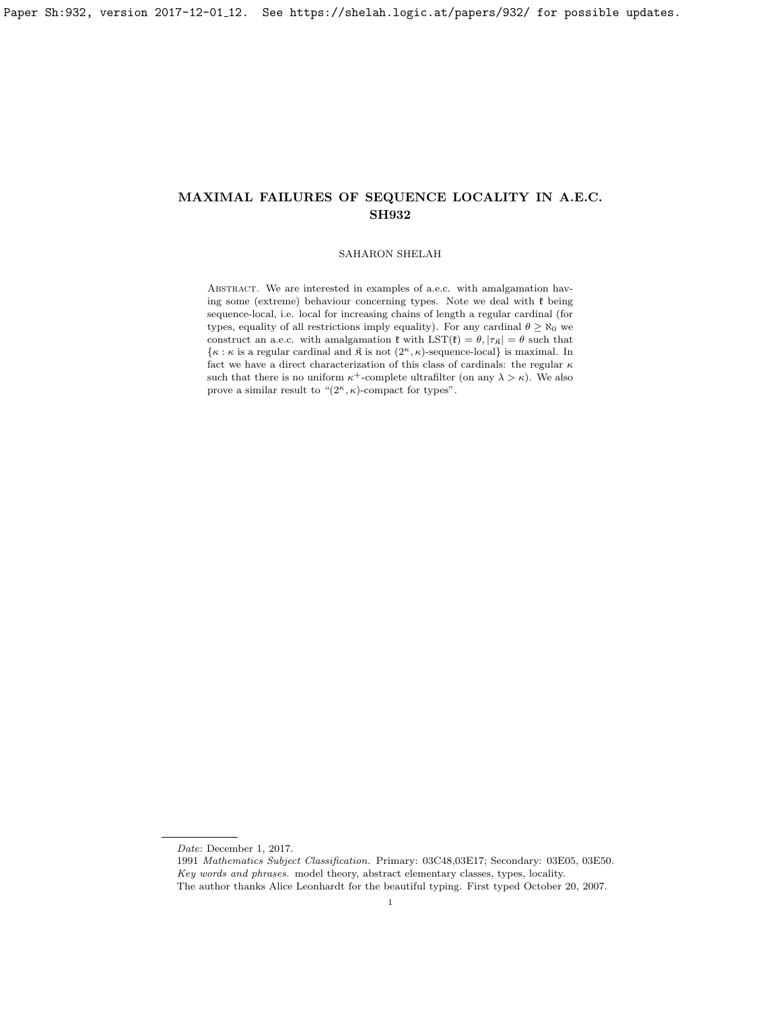# SAHARON SHELAH

ABSTRACT. We are interested in examples of a.e.c. with amalgamation having some (extreme) behaviour concerning types. Note we deal with  $\mathfrak k$  being sequence-local, i.e. local for increasing chains of length a regular cardinal (for types, equality of all restrictions imply equality). For any cardinal  $\theta \geq \aleph_0$  we construct an a.e.c. with amalgamation  $\mathfrak{k}$  with  $\text{LST}(\mathfrak{k}) = \theta, |\tau_{\mathfrak{K}}| = \theta$  such that  $\{\kappa : \kappa \text{ is a regular cardinal and } \hat{\kappa} \text{ is not } (2^{\kappa}, \kappa) \text{-sequence-local} \}$  is maximal. In fact we have a direct characterization of this class of cardinals: the regular  $\kappa$ such that there is no uniform  $\kappa^+$ -complete ultrafilter (on any  $\lambda > \kappa$ ). We also prove a similar result to " $(2<sup>\kappa</sup>, \kappa)$ -compact for types".

Date: December 1, 2017.

<sup>1991</sup> Mathematics Subject Classification. Primary: 03C48,03E17; Secondary: 03E05, 03E50. Key words and phrases. model theory, abstract elementary classes, types, locality. The author thanks Alice Leonhardt for the beautiful typing. First typed October 20, 2007.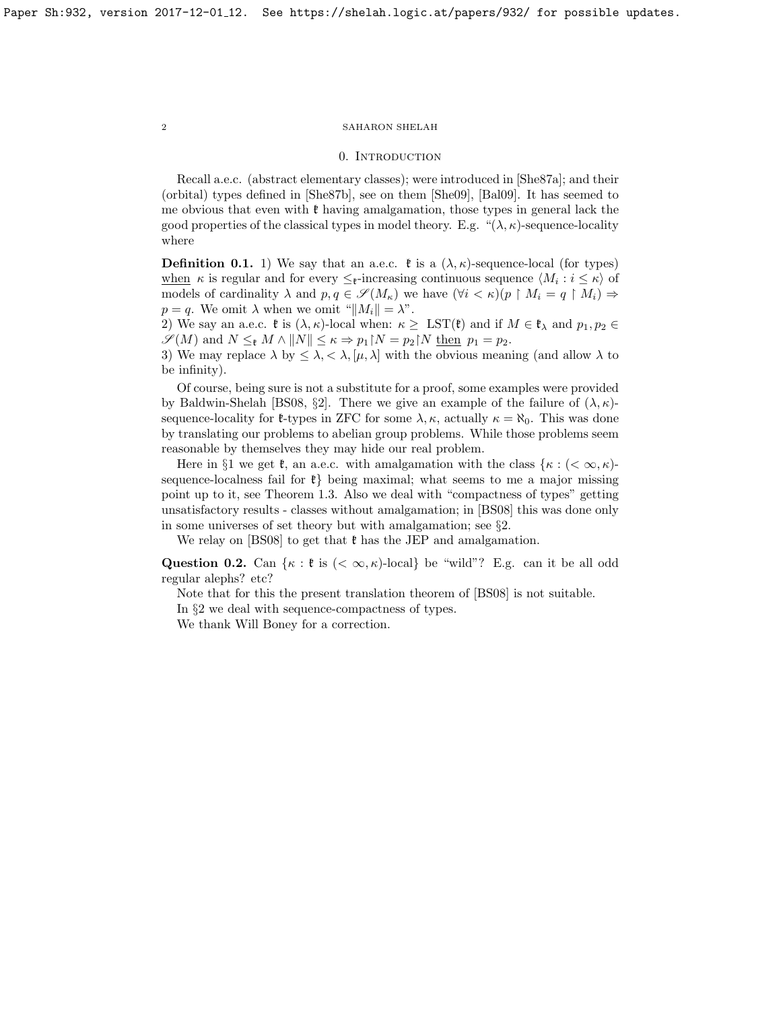#### 0. INTRODUCTION

Recall a.e.c. (abstract elementary classes); were introduced in [\[She87a\]](#page-18-0); and their (orbital) types defined in [\[She87b\]](#page-18-1), see on them [\[She09\]](#page-18-2), [\[Bal09\]](#page-18-3). It has seemed to me obvious that even with  $\mathfrak k$  having amalgamation, those types in general lack the good properties of the classical types in model theory. E.g. " $(\lambda, \kappa)$ -sequence-locality where

**Definition 0.1.** 1) We say that an a.e.c.  $\mathfrak{k}$  is a  $(\lambda, \kappa)$ -sequence-local (for types) when  $\kappa$  is regular and for every  $\leq_{\mathfrak{k}}$ -increasing continuous sequence  $\langle M_i : i \leq \kappa \rangle$  of models of cardinality  $\lambda$  and  $p, q \in \mathscr{S}(M_{\kappa})$  we have  $(\forall i < \kappa)(p \restriction M_i = q \restriction M_i) \Rightarrow$  $p = q$ . We omit  $\lambda$  when we omit " $||M_i|| = \lambda$ ".

2) We say an a.e.c.  $\mathfrak{k}$  is  $(\lambda, \kappa)$ -local when:  $\kappa \geq \text{LST}(\mathfrak{k})$  and if  $M \in \mathfrak{k}_{\lambda}$  and  $p_1, p_2 \in$  $\mathscr{S}(M)$  and  $N \leq_{\mathfrak{k}} M \wedge ||N|| \leq \kappa \Rightarrow p_1 \upharpoonright N = p_2 \upharpoonright N$  then  $p_1 = p_2$ .

3) We may replace  $\lambda$  by  $\leq \lambda, \leq \lambda, [\mu, \lambda]$  with the obvious meaning (and allow  $\lambda$  to be infinity).

Of course, being sure is not a substitute for a proof, some examples were provided by Baldwin-Shelah [\[BS08,](#page-18-4) §2]. There we give an example of the failure of  $(\lambda, \kappa)$ sequence-locality for  $\ell$ -types in ZFC for some  $\lambda, \kappa$ , actually  $\kappa = \aleph_0$ . This was done by translating our problems to abelian group problems. While those problems seem reasonable by themselves they may hide our real problem.

Here in §1 we get  $\mathfrak{k}$ , an a.e.c. with amalgamation with the class  $\{\kappa : (< \infty, \kappa\})$ sequence-localness fail for  $\mathfrak{k}$  being maximal; what seems to me a major missing point up to it, see Theorem [1.3.](#page-9-0) Also we deal with "compactness of types" getting unsatisfactory results - classes without amalgamation; in [\[BS08\]](#page-18-4) this was done only in some universes of set theory but with amalgamation; see §2.

We relay on [\[BS08\]](#page-18-4) to get that  $\mathfrak k$  has the JEP and amalgamation.

Question 0.2. Can  $\{\kappa : \mathfrak{k} \text{ is } (\leq \infty, \kappa) \text{-local}\}$  be "wild"? E.g. can it be all odd regular alephs? etc?

Note that for this the present translation theorem of [\[BS08\]](#page-18-4) is not suitable.

In §2 we deal with sequence-compactness of types.

We thank Will Boney for a correction.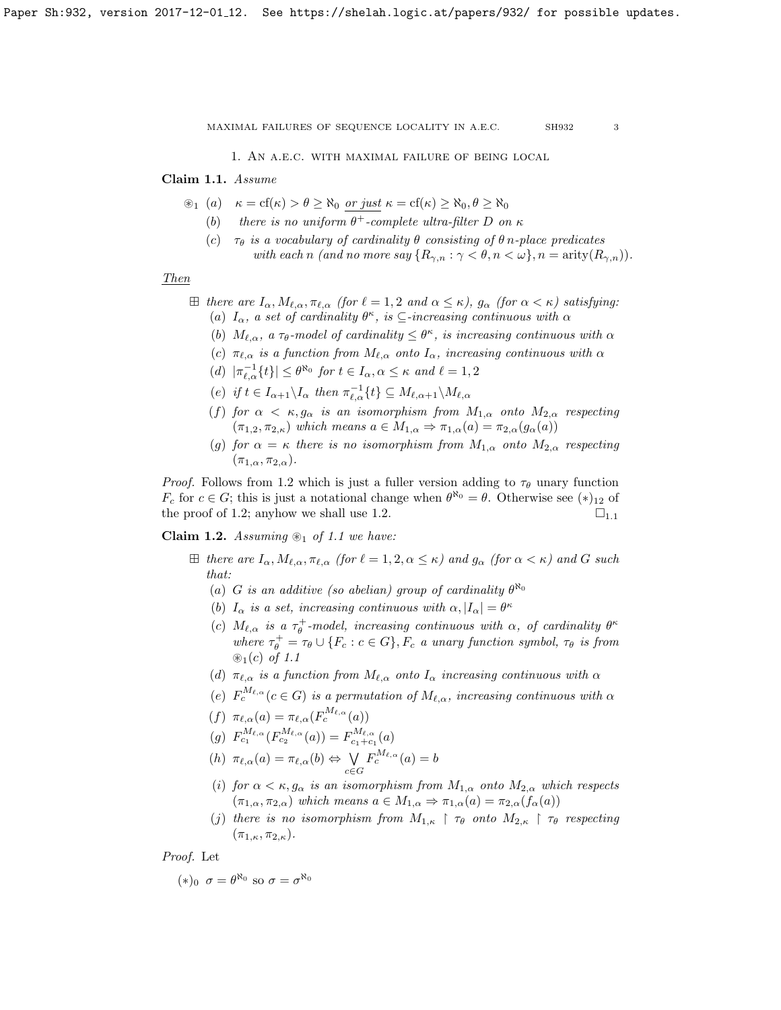1. An a.e.c. with maximal failure of being local

## <span id="page-2-1"></span>Claim 1.1. Assume

- $\mathfrak{B}_1$  (a)  $\kappa = \text{cf}(\kappa) > \theta \geq \aleph_0$  or just  $\kappa = \text{cf}(\kappa) \geq \aleph_0, \theta \geq \aleph_0$ 
	- (b) there is no uniform  $\theta^+$ -complete ultra-filter D on  $\kappa$
	- (c)  $\tau_{\theta}$  is a vocabulary of cardinality  $\theta$  consisting of  $\theta$  n-place predicates with each n (and no more say  $\{R_{\gamma,n} : \gamma < \theta, n < \omega\}, n = \text{arity}(R_{\gamma,n})\}.$

Then

$$
\boxplus \ \textit{there are $I_\alpha$}, \newline M_{\ell,\alpha}, \pi_{\ell,\alpha} \ \textit{(for $\ell=1,2$ and $\alpha\leq\kappa$)}, \ g_\alpha \ \textit{(for $\alpha<\kappa$)} \ satisfying: \newline
$$

- (a)  $I_{\alpha}$ , a set of cardinality  $\theta^{\kappa}$ , is  $\subseteq$ -increasing continuous with  $\alpha$
- (b)  $M_{\ell,\alpha}$ , a  $\tau_{\theta}$ -model of cardinality  $\leq \theta^{\kappa}$ , is increasing continuous with  $\alpha$
- (c)  $\pi_{\ell,\alpha}$  is a function from  $M_{\ell,\alpha}$  onto  $I_\alpha$ , increasing continuous with  $\alpha$
- (d)  $|\pi_{\ell,\alpha}^{-1}{t}| \leq \theta^{\aleph_0}$  for  $t \in I_\alpha, \alpha \leq \kappa$  and  $\ell = 1, 2$
- (e) if  $t \in I_{\alpha+1} \backslash I_{\alpha}$  then  $\pi_{\ell,\alpha}^{-1}\{t\} \subseteq M_{\ell,\alpha+1} \backslash M_{\ell,\alpha}$
- (f) for  $\alpha < \kappa, g_{\alpha}$  is an isomorphism from  $M_{1,\alpha}$  onto  $M_{2,\alpha}$  respecting  $(\pi_{1,2}, \pi_{2,\kappa})$  which means  $a \in M_{1,\alpha} \Rightarrow \pi_{1,\alpha}(a) = \pi_{2,\alpha}(g_{\alpha}(a))$
- (g) for  $\alpha = \kappa$  there is no isomorphism from  $M_{1,\alpha}$  onto  $M_{2,\alpha}$  respecting  $(\pi_{1,\alpha}, \pi_{2,\alpha}).$

*Proof.* Follows from [1.2](#page-2-0) which is just a fuller version adding to  $\tau_{\theta}$  unary function  $F_c$  for  $c \in G$ ; this is just a notational change when  $\theta^{\aleph_0} = \theta$ . Otherwise see  $(*)_{12}$  of the proof of [1.2;](#page-2-0) anyhow we shall use [1.2.](#page-2-0) [1](#page-2-1).<sup>1</sup>

<span id="page-2-0"></span>Claim 1.2. Assuming  $\mathcal{L}_1$  of [1.1](#page-2-1) we have:

- $\boxplus$  there are  $I_\alpha, M_{\ell,\alpha}, \pi_{\ell,\alpha}$  (for  $\ell = 1, 2, \alpha \leq \kappa$ ) and  $g_\alpha$  (for  $\alpha < \kappa$ ) and G such that:
	- (a) G is an additive (so abelian) group of cardinality  $\theta^{\aleph_0}$
	- (b)  $I_{\alpha}$  is a set, increasing continuous with  $\alpha$ ,  $|I_{\alpha}| = \theta^{\kappa}$
	- (c)  $M_{\ell,\alpha}$  is a  $\tau_{\theta}^+$ -model, increasing continuous with  $\alpha$ , of cardinality  $\theta^{\kappa}$ where  $\tau_{\theta}^{+} = \tau_{\theta} \cup \{F_c : c \in G\}$ ,  $F_c$  a unary function symbol,  $\tau_{\theta}$  is from  $\mathcal{D}_1(c)$  of [1.1](#page-2-1)
	- (d)  $\pi_{\ell,\alpha}$  is a function from  $M_{\ell,\alpha}$  onto  $I_\alpha$  increasing continuous with  $\alpha$
	- (e)  $F_c^{M_{\ell,\alpha}}(c \in G)$  is a permutation of  $M_{\ell,\alpha}$ , increasing continuous with  $\alpha$
	- (f)  $\pi_{\ell,\alpha}(a) = \pi_{\ell,\alpha}(F_c^{M_{\ell,\alpha}}(a))$
	- (g)  $F_{c_1}^{M_{\ell,\alpha}}(F_{c_2}^{M_{\ell,\alpha}}(a)) = F_{c_1+c_1}^{M_{\ell,\alpha}}(a)$
	- (h)  $\pi_{\ell,\alpha}(a) = \pi_{\ell,\alpha}(b) \Leftrightarrow \ \bigvee$ c∈G  $F_c^{M_{\ell,\alpha}}(a)=b$
	- (i) for  $\alpha < \kappa$ ,  $g_{\alpha}$  is an isomorphism from  $M_{1,\alpha}$  onto  $M_{2,\alpha}$  which respects  $(\pi_{1,\alpha}, \pi_{2,\alpha})$  which means  $a \in M_{1,\alpha} \Rightarrow \pi_{1,\alpha}(a) = \pi_{2,\alpha}(f_{\alpha}(a))$
	- (j) there is no isomorphism from  $M_{1,\kappa} \restriction \tau_\theta$  onto  $M_{2,\kappa} \restriction \tau_\theta$  respecting  $(\pi_{1,\kappa}, \pi_{2,\kappa}).$

Proof. Let

$$
(*)_0 \ \sigma = \theta^{\aleph_0} \text{ so } \sigma = \sigma^{\aleph_0}
$$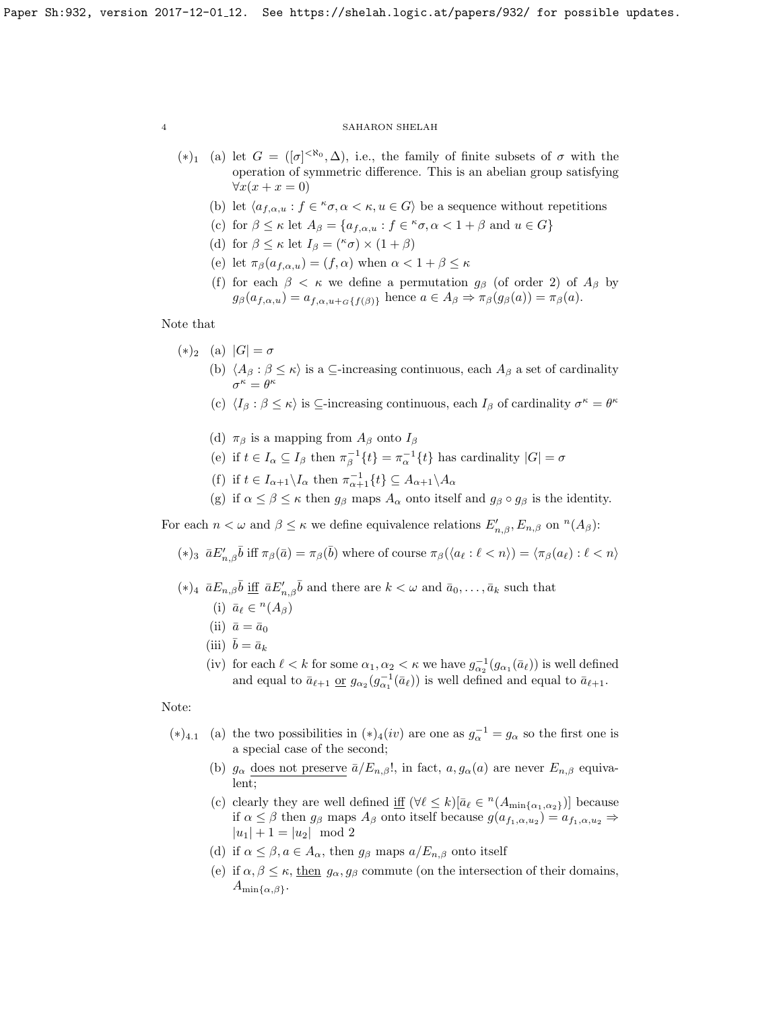- (\*)<sub>1</sub> (a) let  $G = ([\sigma]^{< \aleph_0}, \Delta)$ , i.e., the family of finite subsets of  $\sigma$  with the operation of symmetric difference. This is an abelian group satisfying  $\forall x(x+x=0)$ 
	- (b) let  $\langle a_{f,\alpha,u} : f \in \kappa \sigma, \alpha < \kappa, u \in G \rangle$  be a sequence without repetitions
	- (c) for  $\beta \leq \kappa$  let  $A_{\beta} = \{a_{f,\alpha,u} : f \in {}^{\kappa}\sigma, \alpha < 1 + \beta \text{ and } u \in G\}$
	- (d) for  $\beta \leq \kappa$  let  $I_{\beta} = {^{\kappa} \sigma} \times (1 + \beta)$
	- (e) let  $\pi_{\beta}(a_{f,\alpha,u}) = (f,\alpha)$  when  $\alpha < 1 + \beta \leq \kappa$
	- (f) for each  $\beta < \kappa$  we define a permutation  $g_{\beta}$  (of order 2) of  $A_{\beta}$  by  $g_{\beta}(a_{f,\alpha,u}) = a_{f,\alpha,u+G}\{f(\beta)\}\$ hence  $a \in A_{\beta} \Rightarrow \pi_{\beta}(g_{\beta}(a)) = \pi_{\beta}(a)$ .

# Note that

- $(*)_2$  (a)  $|G| = \sigma$ 
	- (b)  $\langle A_\beta : \beta \leq \kappa \rangle$  is a ⊆-increasing continuous, each  $A_\beta$  a set of cardinality  $\sigma^{\kappa} = \theta^{\kappa}$
	- (c)  $\langle I_\beta : \beta \leq \kappa \rangle$  is  $\subseteq$ -increasing continuous, each  $I_\beta$  of cardinality  $\sigma^\kappa = \theta^\kappa$
	- (d)  $\pi_\beta$  is a mapping from  $A_\beta$  onto  $I_\beta$
	- (e) if  $t \in I_\alpha \subseteq I_\beta$  then  $\pi_\beta^{-1}{t} = \pi_\alpha^{-1}{t}$  has cardinality  $|G| = \sigma$
	- (f) if  $t \in I_{\alpha+1} \backslash I_{\alpha}$  then  $\pi_{\alpha+1}^{-1} \{t\} \subseteq A_{\alpha+1} \backslash A_{\alpha}$
	- (g) if  $\alpha \le \beta \le \kappa$  then  $g_\beta$  maps  $A_\alpha$  onto itself and  $g_\beta \circ g_\beta$  is the identity.

For each  $n < \omega$  and  $\beta \leq \kappa$  we define equivalence relations  $E'_{n,\beta}, E_{n,\beta}$  on  $^n(A_\beta)$ :

(\*)<sub>3</sub>  $\bar{a}E'_{n,\beta}\bar{b}$  iff  $\pi_{\beta}(\bar{a}) = \pi_{\beta}(\bar{b})$  where of course  $\pi_{\beta}(\langle a_{\ell} : \ell < n \rangle) = \langle \pi_{\beta}(a_{\ell}) : \ell < n \rangle$ 

- $(*)_4$   $\bar{a}E_{n,\beta}\bar{b}$  iff  $\bar{a}E'_{n,\beta}\bar{b}$  and there are  $k < \omega$  and  $\bar{a}_0, \ldots, \bar{a}_k$  such that
	- (i)  $\bar{a}_{\ell} \in {}^{n}(A_{\beta})$
	- (ii)  $\bar{a} = \bar{a}_0$
	- (iii)  $\bar{b} = \bar{a}_k$
	- (iv) for each  $\ell < k$  for some  $\alpha_1, \alpha_2 < \kappa$  we have  $g_{\alpha_2}^{-1}(g_{\alpha_1}(\bar{a}_{\ell}))$  is well defined and equal to  $\bar{a}_{\ell+1}$  or  $g_{\alpha_2}(g_{\alpha_1}^{-1}(\bar{a}_{\ell}))$  is well defined and equal to  $\bar{a}_{\ell+1}$ .

# Note:

- (\*)<sub>4.1</sub> (a) the two possibilities in (\*)<sub>4</sub>(*iv*) are one as  $g_{\alpha}^{-1} = g_{\alpha}$  so the first one is a special case of the second;
	- (b)  $g_{\alpha}$  does not preserve  $\bar{a}/E_{n,\beta}!$ , in fact,  $a, g_{\alpha}(a)$  are never  $E_{n,\beta}$  equivalent;
	- (c) clearly they are well defined if  $(\forall \ell \leq k)[\bar{a}_{\ell} \in {}^{n}(A_{\min\{\alpha_{1},\alpha_{2}\}})]$  because if  $\alpha \leq \beta$  then  $g_{\beta}$  maps  $A_{\beta}$  onto itself because  $g(a_{f_1,\alpha,u_2}) = a_{f_1,\alpha,u_2} \Rightarrow$  $|u_1| + 1 = |u_2| \mod 2$
	- (d) if  $\alpha \leq \beta, a \in A_{\alpha}$ , then  $g_{\beta}$  maps  $a/E_{n,\beta}$  onto itself
	- (e) if  $\alpha, \beta \leq \kappa$ , then  $g_{\alpha}, g_{\beta}$  commute (on the intersection of their domains,  $A_{\min\{\alpha,\beta\}}$ .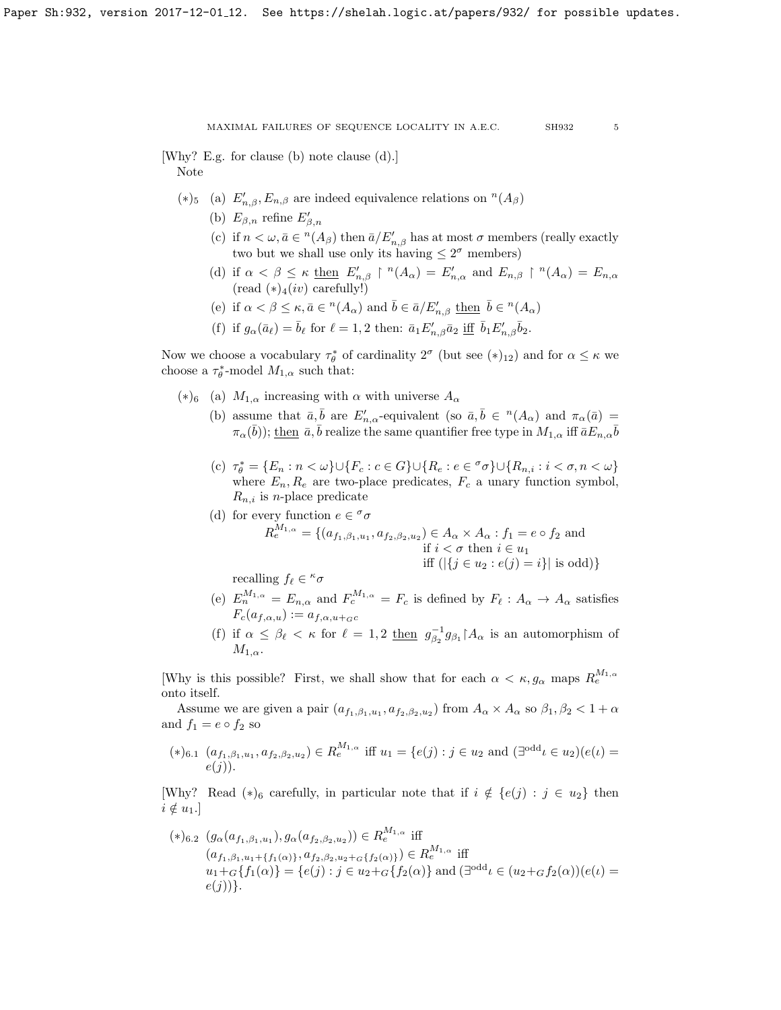[Why? E.g. for clause (b) note clause (d).] Note

- (\*)<sub>5</sub> (a)  $E'_{n,β}, E_{n,β}$  are indeed equivalence relations on <sup>n</sup>(A<sub>β</sub>)
	- (b)  $E_{\beta,n}$  refine  $E'_{\beta,n}$
	- (c) if  $n < \omega, \bar{a} \in {}^n(A_\beta)$  then  $\bar{a}/E'_{n,\beta}$  has at most  $\sigma$  members (really exactly two but we shall use only its having  $\leq 2^{\sigma}$  members)
	- (d) if  $\alpha < \beta \leq \kappa$  then  $E'_{n,\beta} \restriction (A_\alpha) = E'_{n,\alpha}$  and  $E_{n,\beta} \restriction (A_\alpha) = E_{n,\alpha}$  $(\text{read } (*)_4(iv) \text{ carefully!})$
	- (e) if  $\alpha < \beta \leq \kappa, \bar{a} \in {}^{n}(A_{\alpha})$  and  $\bar{b} \in \bar{a}/E'_{n,\beta}$  then  $\bar{b} \in {}^{n}(A_{\alpha})$
	- (f) if  $g_{\alpha}(\bar{a}_{\ell}) = \bar{b}_{\ell}$  for  $\ell = 1, 2$  then:  $\bar{a}_1 E'_{n,\beta} \bar{a}_2$  iff  $\bar{b}_1 E'_{n,\beta} \bar{b}_2$ .

Now we choose a vocabulary  $\tau_{\theta}^*$  of cardinality  $2^{\sigma}$  (but see  $(*)_{12}$ ) and for  $\alpha \leq \kappa$  we choose a  $\tau_{\theta}^*$ -model  $M_{1,\alpha}$  such that:

- (\*)<sub>6</sub> (a)  $M_{1,\alpha}$  increasing with  $\alpha$  with universe  $A_{\alpha}$ 
	- (b) assume that  $\bar{a}, \bar{b}$  are  $E'_{n,\alpha}$ -equivalent (so  $\bar{a}, \bar{b} \in {}^{n}(A_{\alpha})$  and  $\pi_{\alpha}(\bar{a}) =$  $\pi_\alpha(\bar b));\,\underline{\text{then}}\,\,\bar a,\bar b\,\text{realize the same quantifier free type in }M_{1,\alpha}\,\text{iff}\,\bar aE_{n,\alpha}\bar b$
	- (c)  $\tau_{\theta}^* = \{E_n : n < \omega\} \cup \{F_c : c \in G\} \cup \{R_e : e \in \sigma \sigma\} \cup \{R_{n,i} : i < \sigma, n < \omega\}$ where  $E_n, R_e$  are two-place predicates,  $F_c$  a unary function symbol,  $R_{n,i}$  is *n*-place predicate
	- (d) for every function  $e \in \sigma$  $R_e^{M_{1,\alpha}} = \{(a_{f_1,\beta_1,u_1}, a_{f_2,\beta_2,u_2}) \in A_\alpha \times A_\alpha : f_1 = e \circ f_2 \text{ and }$ if  $i < \sigma$  then  $i \in u_1$ iff  $(|\{i \in u_2 : e(i) = i\}|$  is odd)

recalling  $f_\ell \in {}^{\kappa} \sigma$ 

- (e)  $E_n^{M_{1,\alpha}} = E_{n,\alpha}$  and  $F_c^{M_{1,\alpha}} = F_c$  is defined by  $F_\ell : A_\alpha \to A_\alpha$  satisfies  $F_c(a_{f,\alpha,u}) := a_{f,\alpha,u+_{G}c}$
- (f) if  $\alpha \leq \beta_{\ell} < \kappa$  for  $\ell = 1, 2$  then  $g_{\beta_2}^{-1} g_{\beta_1} \upharpoonright A_{\alpha}$  is an automorphism of  $M_{1,\alpha}$ .

[Why is this possible? First, we shall show that for each  $\alpha < \kappa, g_{\alpha}$  maps  $R_e^{M_{1,\alpha}}$ onto itself.

Assume we are given a pair  $(a_{f_1,\beta_1,u_1},a_{f_2,\beta_2,u_2})$  from  $A_{\alpha} \times A_{\alpha}$  so  $\beta_1, \beta_2 < 1 + \alpha$ and  $f_1 = e \circ f_2$  so

$$
(*)_{6.1} (a_{f_1,\beta_1,u_1}, a_{f_2,\beta_2,u_2}) \in R_e^{M_{1,\alpha}} \text{ iff } u_1 = \{e(j) : j \in u_2 \text{ and } (\exists^{odd} \iota \in u_2)(e(\iota) = e(j)).
$$

[Why? Read  $(*)_6$  carefully, in particular note that if  $i \notin \{e(j) : j \in u_2\}$  then  $i \notin u_1.$ ]

$$
(*)_{6.2} (g_{\alpha}(a_{f_1,\beta_1,u_1}), g_{\alpha}(a_{f_2,\beta_2,u_2})) \in R_e^{M_{1,\alpha}}
$$
 iff  
\n
$$
(a_{f_1,\beta_1,u_1+f_1(\alpha)}, a_{f_2,\beta_2,u_2+\sigma\{f_2(\alpha)\}}) \in R_e^{M_{1,\alpha}}
$$
 iff  
\n
$$
u_1 + G\{f_1(\alpha)\} = \{e(j) : j \in u_2 + G\{f_2(\alpha)\}\text{ and } (\exists^{\text{odd}} \iota \in (u_2 + G_2(\alpha))(\iota) = e(j))\}.
$$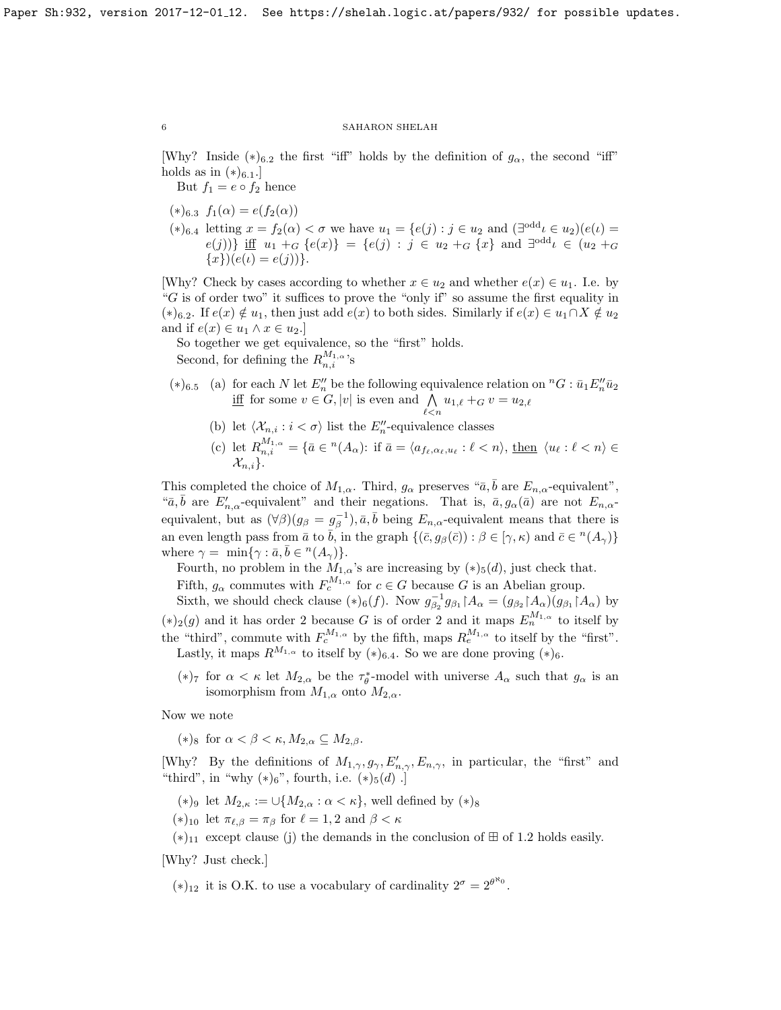[Why? Inside (\*)<sub>6.2</sub> the first "iff" holds by the definition of  $g_{\alpha}$ , the second "iff" holds as in  $(*)_{6.1}.$ 

But  $f_1 = e \circ f_2$  hence

 $(*)_{6.3} f_1(\alpha) = e(f_2(\alpha))$ 

 $(*)_{6.4}$  letting  $x = f_2(\alpha) < \sigma$  we have  $u_1 = \{e(j) : j \in u_2 \text{ and } (\exists^{odd} \iota \in u_2)(e(\iota))\}$  $e(j)$ ) if  $u_1 + G$   $\{e(x)\} = \{e(j) : j \in u_2 + G$  {x} and  $\exists^{\text{odd}} \iota \in (u_2 + G)$  ${x}((e(i) = e(j))).$ 

[Why? Check by cases according to whether  $x \in u_2$  and whether  $e(x) \in u_1$ . I.e. by "G is of order two" it suffices to prove the "only if" so assume the first equality in  $(*)_6.2.$  If  $e(x) \notin u_1$ , then just add  $e(x)$  to both sides. Similarly if  $e(x) \in u_1 \cap X \notin u_2$ and if  $e(x) \in u_1 \wedge x \in u_2$ .

So together we get equivalence, so the "first" holds. Second, for defining the  $R_{n,i}^{M_{1,\alpha}}$ 's

- $(*)$ <sub>6.5</sub> (a) for each N let  $E''_n$  be the following equivalence relation on <sup>n</sup>G :  $\bar{u}_1 E''_n \bar{u}_2$ iff for some  $v \in G$ , |v| is even and  $\bigwedge$  $\bigwedge_{\ell$ 
	- (b) let  $\langle \mathcal{X}_{n,i} : i < \sigma \rangle$  list the  $E''_n$ -equivalence classes
	- (c) let  $R_{n,i}^{M_{1,\alpha}} = \{ \bar{a} \in {}^n(A_\alpha) : \text{ if } \bar{a} = \langle a_{f_\ell,\alpha_\ell,u_\ell} : \ell < n \rangle, \text{ then } \langle u_\ell : \ell < n \rangle \in$  $\mathcal{X}_{n,i}\}.$

This completed the choice of  $M_{1,\alpha}$ . Third,  $g_{\alpha}$  preserves " $\bar{a}, \bar{b}$  are  $E_{n,\alpha}$ -equivalent", " $\bar{a}, \bar{b}$  are  $E'_{n,\alpha}$ -equivalent" and their negations. That is,  $\bar{a}, g_{\alpha}(\bar{a})$  are not  $E_{n,\alpha}$ equivalent, but as  $(\forall \beta)(g_{\beta} = g_{\beta}^{-1}), \bar{a}, \bar{b}$  being  $E_{n,\alpha}$ -equivalent means that there is an even length pass from  $\bar{a}$  to  $\bar{b}$ , in the graph  $\{(\bar{c}, g_{\beta}(\bar{c})) : \beta \in [\gamma, \kappa) \text{ and } \bar{c} \in {}^n(A_{\gamma})\}$ where  $\gamma = \min{\gamma : \bar{a}, \bar{b} \in {}^{n}(A_{\gamma})}.$ 

Fourth, no problem in the  $M_{1,\alpha}$ 's are increasing by  $(*)_5(d)$ , just check that. Fifth,  $g_{\alpha}$  commutes with  $F_c^{M_{1,\alpha}}$  for  $c \in G$  because G is an Abelian group.

Sixth, we should check clause  $(*)_6(f)$ . Now  $g_{\beta_2}^{-1}g_{\beta_1} \upharpoonright A_\alpha = (g_{\beta_2} \upharpoonright A_\alpha)(g_{\beta_1} \upharpoonright A_\alpha)$  by  $(*)_2(g)$  and it has order 2 because G is of order 2 and it maps  $E_n^{M_{1,\alpha}}$  to itself by the "third", commute with  $F_c^{M_{1,\alpha}}$  by the fifth, maps  $R_e^{M_{1,\alpha}}$  to itself by the "first". Lastly, it maps  $R^{M_{1,\alpha}}$  to itself by  $(*)_{6.4}$ . So we are done proving  $(*)_6$ .

(\*)<sup>7</sup> for  $\alpha < \kappa$  let  $M_{2,\alpha}$  be the  $\tau_{\theta}^*$ -model with universe  $A_{\alpha}$  such that  $g_{\alpha}$  is an isomorphism from  $M_{1,\alpha}$  onto  $M_{2,\alpha}$ .

Now we note

(\*)<sub>8</sub> for  $\alpha < \beta < \kappa, M_{2,\alpha} \subseteq M_{2,\beta}$ .

[Why? By the definitions of  $M_{1,\gamma}, g_{\gamma}, E'_{n,\gamma}, E_{n,\gamma}$ , in particular, the "first" and "third", in "why  $(*)_6$ ", fourth, i.e.  $(*)_5(d)$ .

- (\*)<sub>9</sub> let  $M_{2,\kappa} := \bigcup \{M_{2,\alpha} : \alpha < \kappa\}$ , well defined by (\*)<sub>8</sub>
- (\*)<sub>10</sub> let  $\pi_{\ell,\beta} = \pi_{\beta}$  for  $\ell = 1, 2$  and  $\beta < \kappa$
- $(*)$ <sub>11</sub> except clause (j) the demands in the conclusion of  $\boxplus$  of [1.2](#page-2-0) holds easily.

[Why? Just check.]

 $(*)_{12}$  it is O.K. to use a vocabulary of cardinality  $2^{\sigma} = 2^{\theta^{\aleph_0}}$ .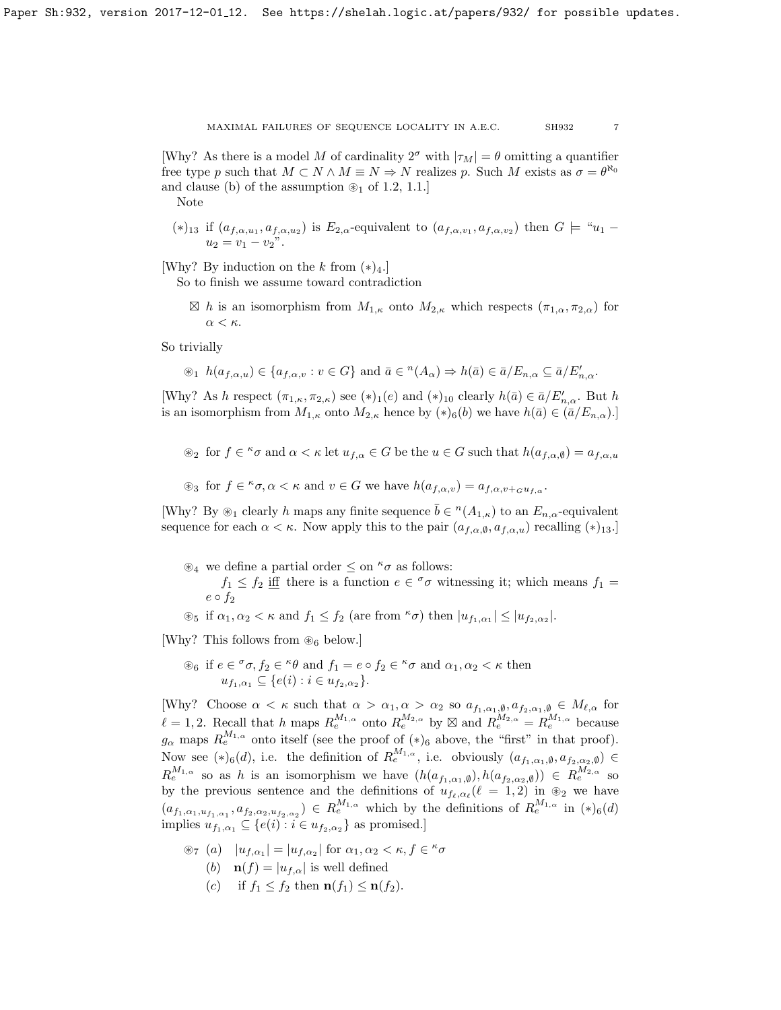[Why? As there is a model M of cardinality  $2^{\sigma}$  with  $|\tau_M| = \theta$  omitting a quantifier free type p such that  $M \subset N \wedge M \equiv N \Rightarrow N$  realizes p. Such M exists as  $\sigma = \theta^{\aleph_0}$ and clause (b) of the assumption  $\mathcal{D}_1$  of [1.2,](#page-2-0) [1.1.](#page-2-1)]

Note

(\*)<sub>13</sub> if  $(a_{f,\alpha,u_1},a_{f,\alpha,u_2})$  is  $E_{2,\alpha}$ -equivalent to  $(a_{f,\alpha,v_1},a_{f,\alpha,v_2})$  then  $G \models "u_1$  $u_2 = v_1 - v_2$ ".

[Why? By induction on the k from  $(*)$ 4.]

So to finish we assume toward contradiction

 $\boxtimes h$  is an isomorphism from  $M_{1,\kappa}$  onto  $M_{2,\kappa}$  which respects  $(\pi_{1,\alpha}, \pi_{2,\alpha})$  for α < κ.

So trivially

$$
\circledast_1 h(a_{f,\alpha,u}) \in \{a_{f,\alpha,v} : v \in G\}
$$
 and  $\bar{a} \in {}^n(A_\alpha) \Rightarrow h(\bar{a}) \in \bar{a}/E_{n,\alpha} \subseteq \bar{a}/E'_{n,\alpha}$ .

[Why? As h respect  $(\pi_{1,\kappa}, \pi_{2,\kappa})$  see  $(*)_1(e)$  and  $(*)_{10}$  clearly  $h(\bar{a}) \in \bar{a}/E'_{n,\alpha}$ . But h is an isomorphism from  $M_{1,\kappa}$  onto  $M_{2,\kappa}$  hence by  $(*)_6(b)$  we have  $h(\bar{a}) \in (\bar{a}/E_{n,\alpha}).$ 

 $\mathcal{L}_2$  for  $f \in \kappa \sigma$  and  $\alpha < \kappa$  let  $u_{f,\alpha} \in G$  be the  $u \in G$  such that  $h(a_{f,\alpha,\emptyset}) = a_{f,\alpha,u}$ 

 $\mathscr{L}_3$  for  $f \in \mathscr{K}_{\sigma}$ ,  $\alpha < \kappa$  and  $v \in G$  we have  $h(a_{f,\alpha,v}) = a_{f,\alpha,v+G}u_{f,\alpha}$ .

[Why? By  $\otimes_1$  clearly h maps any finite sequence  $\bar{b} \in {}^n(A_{1,\kappa})$  to an  $E_{n,\alpha}$ -equivalent sequence for each  $\alpha < \kappa$ . Now apply this to the pair  $(a_{f,\alpha,\emptyset}, a_{f,\alpha,u})$  recalling  $(*)_{13}$ .

- $\mathscr{B}_4$  we define a partial order  $\leq$  on  $\kappa \sigma$  as follows:
	- $f_1 \leq f_2$  iff there is a function  $e \in \sigma$  witnessing it; which means  $f_1 =$  $e \circ f_2$
- $\mathcal{L}_5$  if  $\alpha_1, \alpha_2 < \kappa$  and  $f_1 \leq f_2$  (are from  $\kappa \sigma$ ) then  $|u_{f_1,\alpha_1}| \leq |u_{f_2,\alpha_2}|$ .

[Why? This follows from  $\otimes_6$  below.]

 $\mathscr{E}_6$  if  $e \in \sigma$ ,  $f_2 \in \mathscr{E}_6$  and  $f_1 = e \circ f_2 \in \mathscr{E}_6$  and  $\alpha_1, \alpha_2 < \kappa$  then  $u_{f_1,\alpha_1} \subseteq \{e(i) : i \in u_{f_2,\alpha_2}\}.$ 

[Why? Choose  $\alpha < \kappa$  such that  $\alpha > \alpha_1, \alpha > \alpha_2$  so  $a_{f_1,\alpha_1,\emptyset}, a_{f_2,\alpha_1,\emptyset} \in M_{\ell,\alpha}$  for  $\ell = 1, 2$ . Recall that h maps  $R_e^{M_{1,\alpha}}$  onto  $R_e^{M_{2,\alpha}}$  by  $\boxtimes$  and  $R_e^{M_{2,\alpha}} = R_e^{M_{1,\alpha}}$  because  $g_{\alpha}$  maps  $R_e^{M_{1,\alpha}}$  onto itself (see the proof of  $(*)_6$  above, the "first" in that proof). Now see  $(*)_6(d)$ , i.e. the definition of  $R_e^{M_{1,\alpha}},$  i.e. obviously  $(a_{f_1,\alpha_1,\emptyset},a_{f_2,\alpha_2,\emptyset}) \in$  $R_e^{M_{1,\alpha}}$  so as h is an isomorphism we have  $(h(a_{f_1,\alpha_1,\emptyset}), h(a_{f_2,\alpha_2,\emptyset})) \in R_e^{M_{2,\alpha}}$  so by the previous sentence and the definitions of  $u_{f_\ell,\alpha_\ell}(\ell = 1, 2)$  in  $\otimes_2$  we have  $(a_{f_1,\alpha_1,u_{f_1,\alpha_1}},a_{f_2,\alpha_2,u_{f_2,\alpha_2}}) \in R_e^{M_{1,\alpha}}$  which by the definitions of  $R_e^{M_{1,\alpha}}$  in  $(*)_6(d)$ implies  $u_{f_1,\alpha_1} \subseteq \{e(i) : i \in u_{f_2,\alpha_2}\}\$ as promised.]

- $\circledast_7$  (a)  $|u_{f,\alpha_1}| = |u_{f,\alpha_2}|$  for  $\alpha_1, \alpha_2 < \kappa, f \in \kappa$ 
	- (b)  $\mathbf{n}(f) = |u_{f,\alpha}|$  is well defined
	- (c) if  $f_1 < f_2$  then  $\mathbf{n}(f_1) < \mathbf{n}(f_2)$ .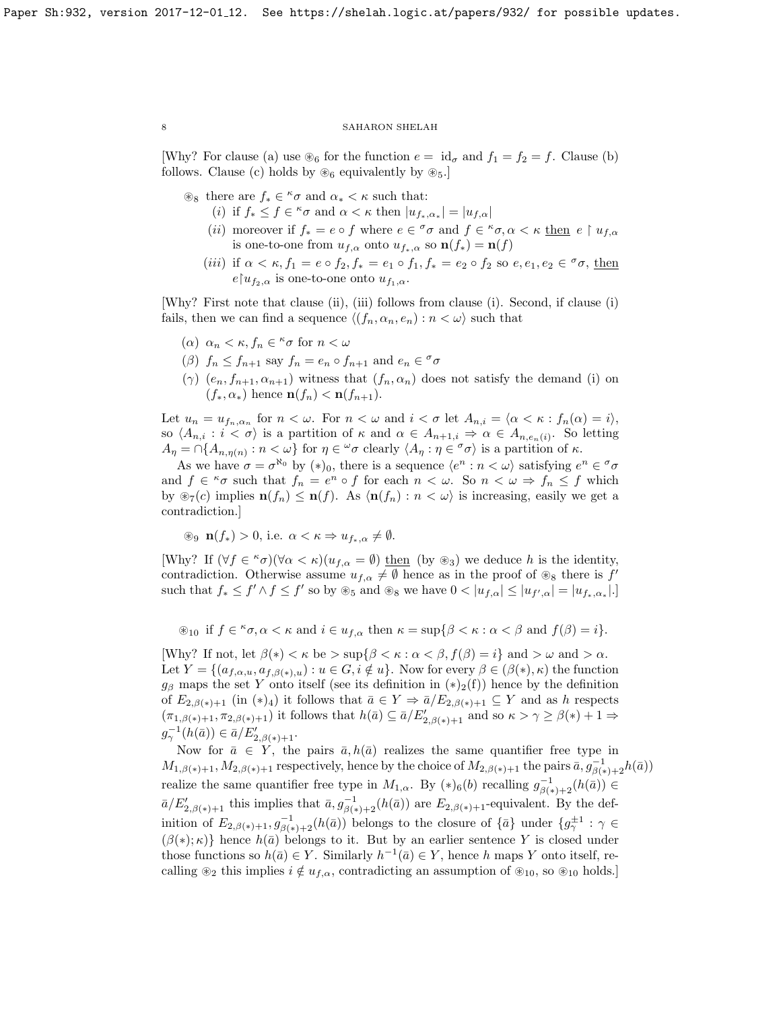[Why? For clause (a) use  $\mathcal{E}_6$  for the function  $e = id_{\sigma}$  and  $f_1 = f_2 = f$ . Clause (b) follows. Clause (c) holds by  $\otimes_6$  equivalently by  $\otimes_5$ .

- $\circledast_8$  there are  $f_* \in \kappa \sigma$  and  $\alpha_* < \kappa$  such that:
	- (i) if  $f_* \leq f \in \kappa \sigma$  and  $\alpha < \kappa$  then  $|u_{f_*,\alpha_*}| = |u_{f,\alpha}|$
	- (*ii*) moreover if  $f_* = e \circ f$  where  $e \in {}^{\sigma}\sigma$  and  $f \in {}^{\kappa}\sigma, \alpha < \kappa$  then  $e \upharpoonright u_{f,\alpha}$ is one-to-one from  $u_{f,\alpha}$  onto  $u_{f_*,\alpha}$  so  $\mathbf{n}(f_*) = \mathbf{n}(f)$
	- (iii) if  $\alpha < \kappa$ ,  $f_1 = e \circ f_2$ ,  $f_* = e_1 \circ f_1$ ,  $f_* = e_2 \circ f_2$  so  $e, e_1, e_2 \in \sigma \sigma$ , then  $e\vert u_{f_2,\alpha}\rangle$  is one-to-one onto  $u_{f_1,\alpha}$ .

[Why? First note that clause (ii), (iii) follows from clause (i). Second, if clause (i) fails, then we can find a sequence  $\langle (f_n, \alpha_n, e_n) : n < \omega \rangle$  such that

- (a)  $\alpha_n < \kappa$ ,  $f_n \in \kappa \sigma$  for  $n < \omega$
- ( $\beta$ )  $f_n \leq f_{n+1}$  say  $f_n = e_n \circ f_{n+1}$  and  $e_n \in \sigma$
- (γ)  $(e_n, f_{n+1}, \alpha_{n+1})$  witness that  $(f_n, \alpha_n)$  does not satisfy the demand (i) on  $(f_*, \alpha_*)$  hence  $\mathbf{n}(f_n) < \mathbf{n}(f_{n+1})$ .

Let  $u_n = u_{f_n,\alpha_n}$  for  $n < \omega$ . For  $n < \omega$  and  $i < \sigma$  let  $A_{n,i} = \langle \alpha < \kappa : f_n(\alpha) = i \rangle$ , so  $\langle A_{n,i} : i < \sigma \rangle$  is a partition of  $\kappa$  and  $\alpha \in A_{n+1,i} \Rightarrow \alpha \in A_{n,e_n(i)}$ . So letting  $A_{\eta} = \bigcap \{A_{n,\eta(n)} : n < \omega\}$  for  $\eta \in {}^{\omega}\sigma$  clearly  $\langle A_{\eta} : \eta \in {}^{\sigma}\sigma \rangle$  is a partition of  $\kappa$ .

As we have  $\sigma = \sigma^{\aleph_0}$  by  $(*)_0$ , there is a sequence  $\langle e^n : n < \omega \rangle$  satisfying  $e^n \in \sigma$ and  $f \in \kappa \sigma$  such that  $f_n = e^n \circ f$  for each  $n < \omega$ . So  $n < \omega \Rightarrow f_n \leq f$  which by  $\mathcal{F}_7(c)$  implies  $\mathbf{n}(f_n) \leq \mathbf{n}(f)$ . As  $\langle \mathbf{n}(f_n) : n < \omega \rangle$  is increasing, easily we get a contradiction.]

$$
\circledast_9 \mathbf{n}(f_*) > 0
$$
, i.e.  $\alpha < \kappa \Rightarrow u_{f_*,\alpha} \neq \emptyset$ .

[Why? If  $(\forall f \in \kappa \sigma)(\forall \alpha < \kappa)(u_{f,\alpha} = \emptyset)$  then (by  $\circledast_3$ ) we deduce h is the identity, contradiction. Otherwise assume  $u_{f,\alpha} \neq \emptyset$  hence as in the proof of  $\otimes_8$  there is f such that  $f_* \leq f' \wedge f \leq f'$  so by  $\circledast_5$  and  $\circledast_8$  we have  $0 < |u_{f,\alpha}| \leq |u_{f',\alpha}| = |u_{f_*,\alpha_*}|$ .

 $\mathscr{L}_{10}$  if  $f \in \kappa_{\sigma, \alpha} < \kappa$  and  $i \in u_{f,\alpha}$  then  $\kappa = \sup\{\beta < \kappa : \alpha < \beta \text{ and } f(\beta) = i\}.$ 

[Why? If not, let  $\beta(*) < \kappa$  be  $> \sup\{\beta < \kappa : \alpha < \beta, f(\beta) = i\}$  and  $> \omega$  and  $> \alpha$ . Let  $Y = \{(a_{f,\alpha,u}, a_{f,\beta(*)}, u) : u \in G, i \notin u\}$ . Now for every  $\beta \in (\beta(*) , \kappa)$  the function  $g_\beta$  maps the set Y onto itself (see its definition in  $(*)_2(f)$ ) hence by the definition of  $E_{2,\beta(*)+1}$  (in  $(*)_4$ ) it follows that  $\bar{a} \in Y \Rightarrow \bar{a}/E_{2,\beta(*)+1} \subseteq Y$  and as h respects  $(\pi_{1,\beta(*)+1}, \pi_{2,\beta(*)+1})$  it follows that  $h(\bar{a}) \subseteq \bar{a}/E'_{2,\beta(*)+1}$  and so  $\kappa > \gamma \geq \beta(*)+1 \Rightarrow$  $g_{\gamma}^{-1}(h(\bar{a})) \in \bar{a}/E'_{2,\beta(*)+1}.$ 

Now for  $\bar{a} \in Y$ , the pairs  $\bar{a}$ ,  $h(\bar{a})$  realizes the same quantifier free type in  $M_{1,\beta(*)+1}, M_{2,\beta(*)+1}$  respectively, hence by the choice of  $M_{2,\beta(*)+1}$  the pairs  $\bar{a}, g_{\beta(*)+2}^{-1}h(\bar{a})$ realize the same quantifier free type in  $M_{1,\alpha}$ . By  $(*)_6(b)$  recalling  $g_{\beta(*)+2}^{-1}(h(\bar{a})) \in$  $\bar{a}/E'_{2,\beta(*)+1}$  this implies that  $\bar{a}, g^{-1}_{\beta(*)+2}(h(\bar{a}))$  are  $E_{2,\beta(*)+1}$ -equivalent. By the definition of  $E_{2,\beta(*)+1}, g_{\beta(*)+2}^{-1}(h(\bar{a}))$  belongs to the closure of  $\{\bar{a}\}\$ under  $\{g_{\gamma}^{\pm 1}:\gamma\in$  $(\beta(*); \kappa)$ } hence  $h(\bar{a})$  belongs to it. But by an earlier sentence Y is closed under those functions so  $h(\bar{a}) \in Y$ . Similarly  $h^{-1}(\bar{a}) \in Y$ , hence h maps Y onto itself, recalling  $\mathcal{L}_2$  this implies  $i \notin u_{f,\alpha}$ , contradicting an assumption of  $\mathcal{L}_{10}$ , so  $\mathcal{L}_{10}$  holds.]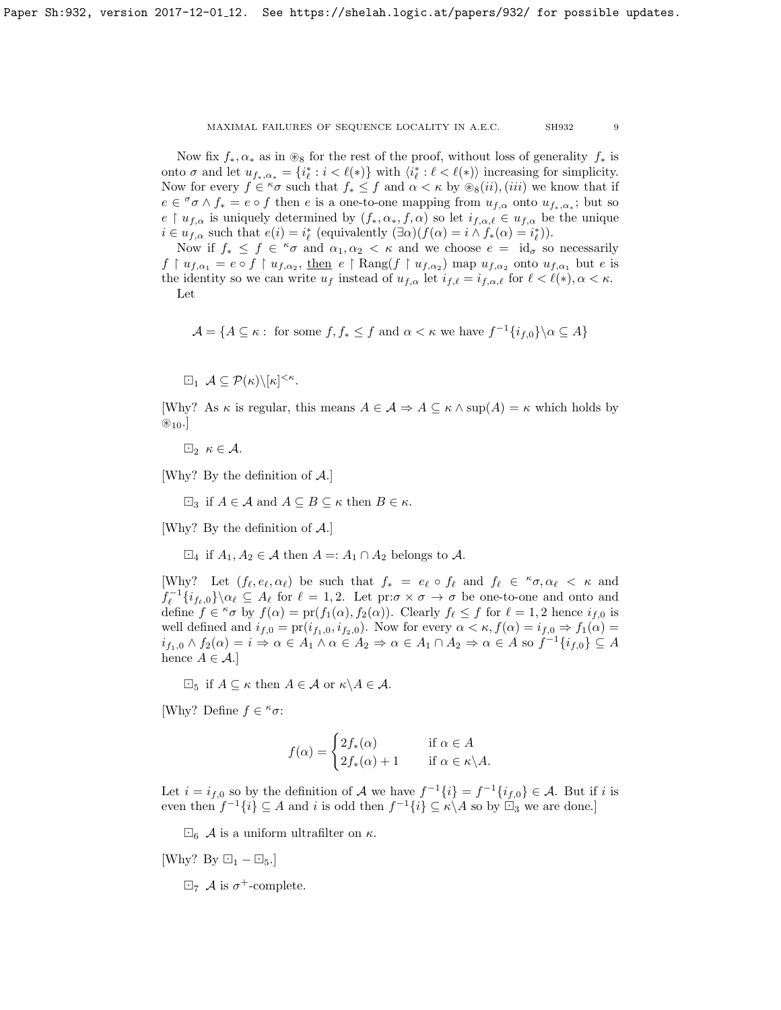Now fix  $f_*, \alpha_*$  as in  $\otimes_8$  for the rest of the proof, without loss of generality  $f_*$  is onto  $\sigma$  and let  $u_{f_*,\alpha_*} = \{i^*_{\ell} : i < \ell(*)\}$  with  $\langle i^*_{\ell} : \ell < \ell(*)\rangle$  increasing for simplicity. Now for every  $f \in \kappa \sigma$  such that  $f_* \leq f$  and  $\alpha < \kappa$  by  $\hat{\mathcal{B}}_8(ii)$ , (iii) we know that if  $e \in \sigma$   $\wedge f_* = e \circ f$  then e is a one-to-one mapping from  $u_{f,\alpha}$  onto  $u_{f_*,\alpha_*}$ ; but so  $e \restriction u_{f,\alpha}$  is uniquely determined by  $(f_*, \alpha_*, f, \alpha)$  so let  $i_{f,\alpha,\ell} \in u_{f,\alpha}$  be the unique  $i \in u_{f,\alpha}$  such that  $e(i) = i^*_{\ell}$  (equivalently  $(\exists \alpha)(f(\alpha) = i \land f_*(\alpha) = i^*_{\ell}).$ 

Now if  $f_* \leq f \in \kappa \sigma$  and  $\alpha_1, \alpha_2 < \kappa$  and we choose  $e = id_{\sigma}$  so necessarily  $f \restriction u_{f,\alpha_1} = e \circ f \restriction u_{f,\alpha_2}$ , then  $e \restriction \text{Rang}(f \restriction u_{f,\alpha_2})$  map  $u_{f,\alpha_2}$  onto  $u_{f,\alpha_1}$  but  $e$  is the identity so we can write  $u_f$  instead of  $u_{f,\alpha}$  let  $i_{f,\ell} = i_{f,\alpha,\ell}$  for  $\ell < \ell(*)$ ,  $\alpha < \kappa$ . Let

$$
\mathcal{A} = \{ A \subseteq \kappa : \text{ for some } f, f_* \le f \text{ and } \alpha < \kappa \text{ we have } f^{-1}\{i_{f,0}\} \setminus \alpha \subseteq A \}
$$

 $\Box_1 \mathcal{A} \subseteq \mathcal{P}(\kappa) \setminus [\kappa]^{<\kappa}.$ 

[Why? As  $\kappa$  is regular, this means  $A \in \mathcal{A} \Rightarrow A \subseteq \kappa \wedge \sup(A) = \kappa$  which holds by  $\otimes_{10}$ .

 $\boxdot_2 \kappa \in \mathcal{A}.$ 

[Why? By the definition of A.]

 $\Box_3$  if  $A \in \mathcal{A}$  and  $A \subseteq B \subseteq \kappa$  then  $B \in \kappa$ .

[Why? By the definition of A.]

 $\Box_4$  if  $A_1, A_2 \in \mathcal{A}$  then  $A =: A_1 \cap A_2$  belongs to  $\mathcal{A}$ .

[Why? Let  $(f_\ell, e_\ell, \alpha_\ell)$  be such that  $f_* = e_\ell \circ f_\ell$  and  $f_\ell \in \kappa \circ \alpha_\ell < \kappa$  and  $f_{\ell}^{-1}\{i_{f_{\ell},0}\}\setminus\alpha_{\ell} \subseteq A_{\ell}$  for  $\ell = 1,2$ . Let  $\mathrm{pr:}\sigma\times\sigma\to\sigma$  be one-to-one and onto and define  $f \in \kappa \sigma$  by  $f(\alpha) = \text{pr}(f_1(\alpha), f_2(\alpha))$ . Clearly  $f_\ell \leq f$  for  $\ell = 1, 2$  hence  $i_{f,0}$  is well defined and  $i_{f,0} = \text{pr}(i_{f_1,0}, i_{f_2,0})$ . Now for every  $\alpha < \kappa$ ,  $f(\alpha) = i_{f,0} \Rightarrow f_1(\alpha) =$  $i_{f_1,0} \wedge f_2(\alpha) = i \Rightarrow \alpha \in A_1 \wedge \alpha \in A_2 \Rightarrow \alpha \in A_1 \cap A_2 \Rightarrow \alpha \in A \text{ so } f^{-1}\{i_{f,0}\} \subseteq A$ hence  $A \in \mathcal{A}$ .]

 $\Box_5$  if  $A \subseteq \kappa$  then  $A \in \mathcal{A}$  or  $\kappa \backslash A \in \mathcal{A}$ .

[Why? Define  $f \in \kappa \sigma$ :

$$
f(\alpha) = \begin{cases} 2f_*(\alpha) & \text{if } \alpha \in A \\ 2f_*(\alpha) + 1 & \text{if } \alpha \in \kappa \backslash A. \end{cases}
$$

Let  $i = i_{f,0}$  so by the definition of A we have  $f^{-1}{i} = f^{-1}{i_{f,0}} \in A$ . But if i is even then  $f^{-1}{i} \subseteq A$  and i is odd then  $f^{-1}{i} \subseteq \kappa \backslash A$  so by  $\Box_3$  we are done.]

 $\Box_6$  A is a uniform ultrafilter on  $\kappa$ .

[Why? By  $\boxdot_1 - \boxdot_5$ .]

 $\boxdot_7$  A is  $\sigma^+$ -complete.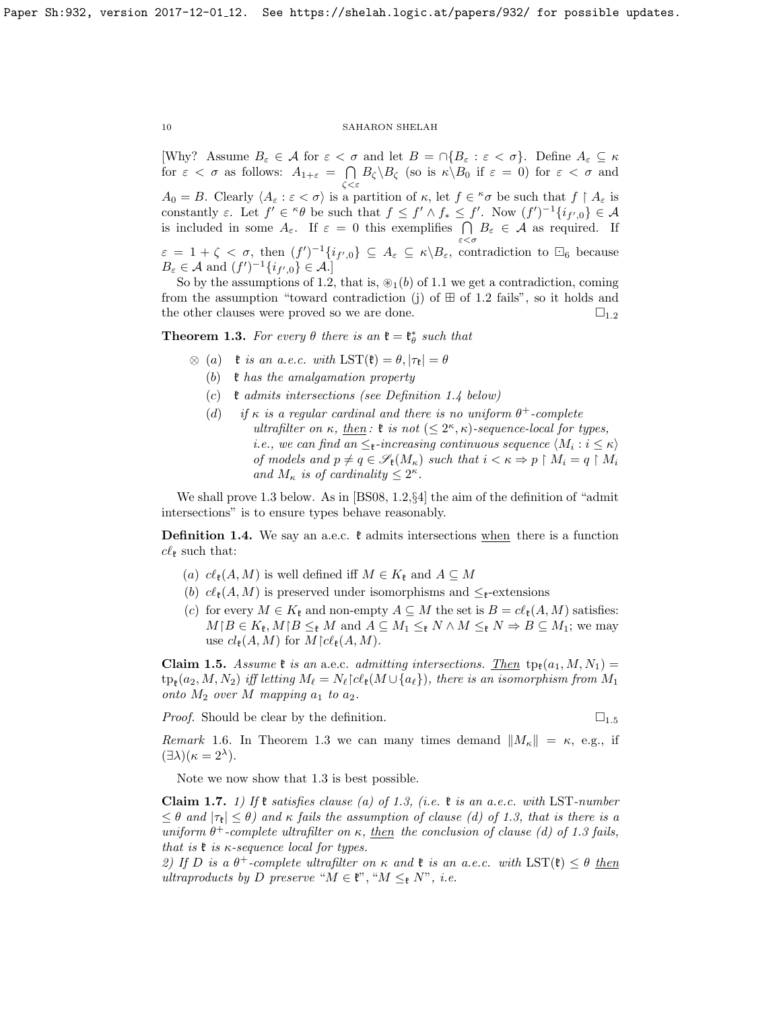[Why? Assume  $B_{\varepsilon} \in \mathcal{A}$  for  $\varepsilon < \sigma$  and let  $B = \cap \{B_{\varepsilon} : \varepsilon < \sigma\}$ . Define  $A_{\varepsilon} \subseteq \kappa$ for  $\varepsilon < \sigma$  as follows:  $A_{1+\varepsilon} = \bigcap B_{\zeta} \backslash B_{\zeta}$  (so is  $\kappa \backslash B_0$  if  $\varepsilon = 0$ ) for  $\varepsilon < \sigma$  and ζ<ε

 $A_0 = B$ . Clearly  $\langle A_\varepsilon : \varepsilon < \sigma \rangle$  is a partition of  $\kappa$ , let  $f \in {}^{\kappa} \sigma$  be such that  $f \restriction A_\varepsilon$  is constantly  $\varepsilon$ . Let  $f' \in {}^{\kappa}\theta$  be such that  $f \leq f' \wedge f_* \leq f'$ . Now  $(f')^{-1}\{i_{f',0}\} \in \mathcal{A}$ is included in some  $A_{\varepsilon}$ . If  $\varepsilon = 0$  this exemplifies  $\bigcap B_{\varepsilon} \in \mathcal{A}$  as required. If ε<σ  $\varepsilon = 1 + \zeta < \sigma$ , then  $(f')^{-1}\{i_{f',0}\}\subseteq A_{\varepsilon} \subseteq \kappa \setminus B_{\varepsilon}$ , contradiction to  $\Box_6$  because

 $B_{\varepsilon} \in \mathcal{A}$  and  $(f')^{-1}\{i_{f',0}\} \in \mathcal{A}.$ So by the assumptions of [1.2,](#page-2-0) that is,  $\mathcal{D}_1(b)$  of [1.1](#page-2-1) we get a contradiction, coming

from the assumption "toward contradiction (j) of  $\boxplus$  of [1.2](#page-2-0) fails", so it holds and the other clauses were proved so we are done.  $\square_{1,2}$  $\square_{1,2}$  $\square_{1,2}$ 

<span id="page-9-0"></span>**Theorem 1.3.** For every  $\theta$  there is an  $\mathfrak{k} = \mathfrak{k}_{\theta}^{*}$  such that

- $\otimes$  (a)  $\mathfrak{k}$  is an a.e.c. with  $\text{LST}(\mathfrak{k}) = \theta, |\tau_{\mathfrak{k}}| = \theta$ 
	- (b)  $\mathfrak k$  has the amalgamation property
	- (c)  $\mathfrak k$  admits intersections (see Definition [1.4](#page-9-1) below)
	- (d) if  $\kappa$  is a regular cardinal and there is no uniform  $\theta^+$ -complete ultrafilter on  $\kappa$ , then:  $\mathfrak{k}$  is not  $(\leq 2^{\kappa}, \kappa)$ -sequence-local for types, *i.e.*, we can find an  $\leq$ <sub>**t**</sub>-increasing continuous sequence  $\langle M_i : i \leq \kappa \rangle$ of models and  $p \neq q \in \mathscr{S}_{\mathfrak{k}}(M_{\kappa})$  such that  $i < \kappa \Rightarrow p \restriction M_i = q \restriction M_i$ and  $M_{\kappa}$  is of cardinality  $\leq 2^{\kappa}$ .

We shall prove [1.3](#page-9-0) below. As in [\[BS08,](#page-18-4) 1.2,§4] the aim of the definition of "admit intersections" is to ensure types behave reasonably.

<span id="page-9-1"></span>**Definition 1.4.** We say an a.e.c.  $\mathfrak{k}$  admits intersections when there is a function  $c\ell_{\ell}$  such that:

- (a)  $c\ell_{\mathfrak{k}}(A, M)$  is well defined iff  $M \in K_{\mathfrak{k}}$  and  $A \subseteq M$
- (b)  $c\ell_{\mathfrak{k}}(A, M)$  is preserved under isomorphisms and  $\leq_{\mathfrak{k}}$ -extensions
- (c) for every  $M \in K_{\mathfrak{k}}$  and non-empty  $A \subseteq M$  the set is  $B = c\ell_{\mathfrak{k}}(A, M)$  satisfies:  $M \mid B \in K_{\mathfrak{k}}, M \mid B \leq_{\mathfrak{k}} M$  and  $A \subseteq M_1 \leq_{\mathfrak{k}} N \wedge M \leq_{\mathfrak{k}} N \Rightarrow B \subseteq M_1$ ; we may use  $cl_{\mathfrak{k}}(A, M)$  for  $M \upharpoonright cl_{\mathfrak{k}}(A, M)$ .

<span id="page-9-2"></span>**Claim 1.5.** Assume  $\mathfrak{k}$  is an a.e.c. admitting intersections. Then  $tp_{\mathfrak{k}}(a_1, M, N_1) =$  $\mathrm{tp}_\mathfrak{k}(a_2,M,N_2) \text{ iff letting } M_\ell = N_\ell{\upharpoonright} c\ell_\mathfrak{k}(M\cup\{a_\ell\}), \text{ there is an isomorphism from } M_1$ onto  $M_2$  over M mapping  $a_1$  to  $a_2$ .

*Proof.* Should be clear by the definition.  $\Box$ <sub>[1](#page-9-2).5</sub>

Remark 1.6. In Theorem [1.3](#page-9-0) we can many times demand  $||M_{\kappa}|| = \kappa$ , e.g., if  $(\exists \lambda)(\kappa = 2^{\lambda}).$ 

Note we now show that [1.3](#page-9-0) is best possible.

<span id="page-9-3"></span>Claim 1.7. 1) If  $\mathfrak k$  satisfies clause (a) of [1.3,](#page-9-0) (i.e.  $\mathfrak k$  is an a.e.c. with LST-number  $\leq \theta$  and  $|\tau_{\mathbf{R}}| \leq \theta$ ) and  $\kappa$  fails the assumption of clause (d) of [1.3,](#page-9-0) that is there is a uniform  $\theta^+$ -complete ultrafilter on  $\kappa$ , then the conclusion of clause (d) of [1.3](#page-9-0) fails, that is  $\mathfrak k$  is  $\kappa$ -sequence local for types.

2) If D is a  $\theta^+$ -complete ultrafilter on  $\kappa$  and  $\mathfrak k$  is an a.e.c. with  $\text{LST}(\mathfrak k) \leq \theta$  then ultraproducts by D preserve " $M \in \mathfrak{k}$ ", " $M \leq_{\mathfrak{k}} N$ ", i.e.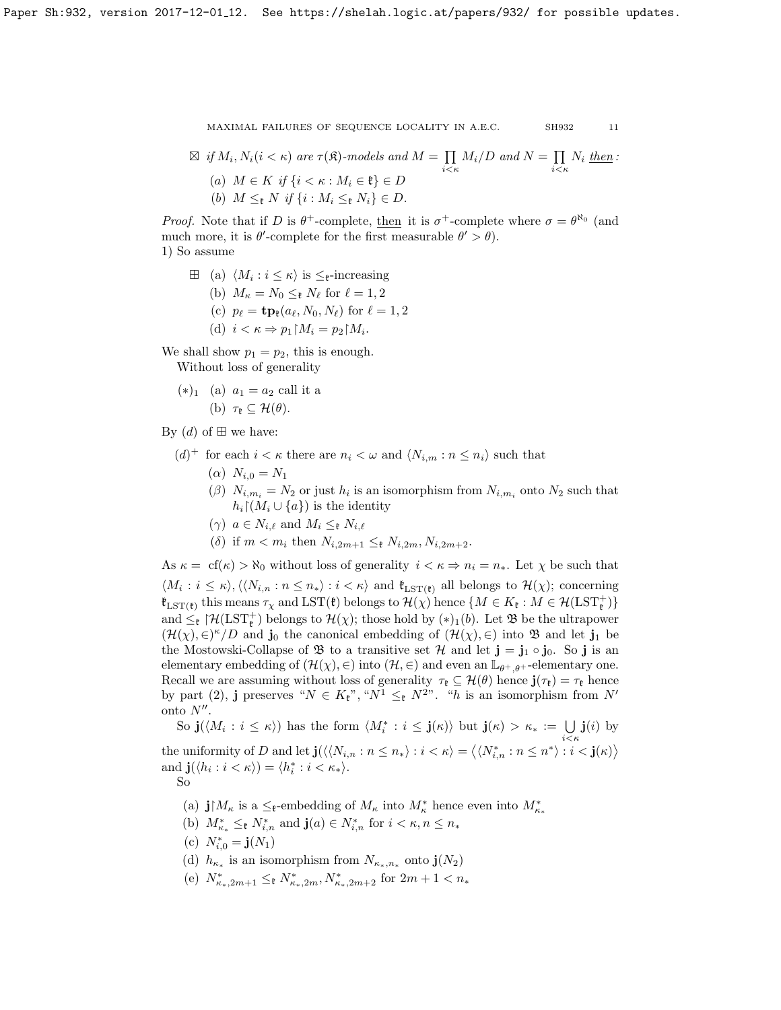$$
\mathbf{1}_{\mathbf{1}}
$$

 $\boxtimes$  if  $M_i, N_i (i < \kappa)$  are  $\tau(\mathfrak{K})$ -models and  $M = \prod$  $\prod_{i \leq \kappa} M_i/D$  and  $N = \prod_{i \leq \kappa}$  $\prod_{i<\kappa} N_i$  then:

- (a)  $M \in K$  if  $\{i < \kappa : M_i \in \mathfrak{k}\}\in D$
- (b)  $M \leq_{\mathbb{F}} N$  if  $\{i : M_i \leq_{\mathbb{F}} N_i\} \in D$ .

*Proof.* Note that if D is  $\theta^+$ -complete, then it is  $\sigma^+$ -complete where  $\sigma = \theta^{\aleph_0}$  (and much more, it is  $\theta'$ -complete for the first measurable  $\theta' > \theta$ ). 1) So assume

- $\boxplus$  (a)  $\langle M_i : i \leq \kappa \rangle$  is  $\leq_{\mathfrak{k}}$ -increasing
	- (b)  $M_{\kappa} = N_0 \leq_{\kappa} N_{\ell}$  for  $\ell = 1, 2$
	- (c)  $p_{\ell} = \mathbf{tp}_{\ell}(a_{\ell}, N_0, N_{\ell})$  for  $\ell = 1, 2$
	- (d)  $i < \kappa \Rightarrow p_1 \upharpoonright M_i = p_2 \upharpoonright M_i$ .

We shall show  $p_1 = p_2$ , this is enough.

Without loss of generality

 $(*)_1$  (a)  $a_1 = a_2$  call it a (b)  $\tau_{\mathfrak{k}} \subset \mathcal{H}(\theta)$ .

By  $(d)$  of  $\boxplus$  we have:

- $(d)^+$  for each  $i < \kappa$  there are  $n_i < \omega$  and  $\langle N_{i,m} : n \leq n_i \rangle$  such that
	- ( $\alpha$ )  $N_{i,0} = N_1$
	- ( $\beta$ )  $N_{i,m_i} = N_2$  or just  $h_i$  is an isomorphism from  $N_{i,m_i}$  onto  $N_2$  such that  $h_i \restriction (M_i \cup \{a\})$  is the identity
	- $(\gamma)$   $a \in N_{i,\ell}$  and  $M_i \leq_{\ell} N_{i,\ell}$
	- (δ) if  $m < m_i$  then  $N_{i,2m+1} \leq_{\ell} N_{i,2m}$ ,  $N_{i,2m+2}$ .

As  $\kappa = cf(\kappa) > \aleph_0$  without loss of generality  $i < \kappa \Rightarrow n_i = n_*$ . Let  $\chi$  be such that  $\langle M_i : i \leq \kappa \rangle, \langle N_{i,n} : n \leq n_* \rangle : i \langle \kappa \rangle$  and  $\mathfrak{k}_{\text{LST}(\mathfrak{k})}$  all belongs to  $\mathcal{H}(\chi)$ ; concerning  $\mathfrak{k}_{\text{LST}(\mathfrak{k})}$  this means  $\tau_\chi$  and  $\text{LST}(\mathfrak{k})$  belongs to  $\mathcal{H}(\chi)$  hence  $\{M \in K_{\mathfrak{k}} : M \in \mathcal{H}(\text{LST}_{\mathfrak{k}}^+)\}$ and  $\leq_{\mathfrak{k}}$   $\mathfrak{f}\mathcal{H}(LST_{\mathfrak{k}}^{+})$  belongs to  $\mathcal{H}(\chi)$ ; those hold by  $(*)_1(b)$ . Let  $\mathfrak{B}$  be the ultrapower  $(\mathcal{H}(\chi), \in)^\kappa/D$  and  $\mathbf{j}_0$  the canonical embedding of  $(\mathcal{H}(\chi), \in)$  into  $\mathfrak{B}$  and let  $\mathbf{j}_1$  be the Mostowski-Collapse of  $\mathfrak B$  to a transitive set  $\mathcal H$  and let  $\mathbf j = \mathbf j_1 \circ \mathbf j_0$ . So  $\mathbf j$  is an elementary embedding of  $(\mathcal{H}(\chi), \in)$  into  $(\mathcal{H}, \in)$  and even an  $\mathbb{L}_{\theta^+, \theta^+}$ -elementary one. Recall we are assuming without loss of generality  $\tau_{\mathfrak{k}} \subseteq \mathcal{H}(\theta)$  hence  $\mathbf{j}(\tau_{\mathfrak{k}}) = \tau_{\mathfrak{k}}$  hence by part (2), **j** preserves " $N \in K_{\mathfrak{k}}$ ", " $N^1 \leq_{\mathfrak{k}} N^{2}$ ". "h is an isomorphism from  $N'$ onto  $N''$ .

So  $\mathbf{j}(\langle M_i : i \leq \kappa \rangle)$  has the form  $\langle M_i^* : i \leq \mathbf{j}(\kappa) \rangle$  but  $\mathbf{j}(\kappa) > \kappa_* := \bigcup \mathbf{j}(i)$  by  $i<\kappa$ the uniformity of D and let  $\mathbf{j}(\langle N_{i,n} : n \leq n_* \rangle : i < \kappa \rangle = \langle N_{i,n}^* : n \leq n^* \rangle : i < \mathbf{j}(\kappa) \rangle$ and  $\mathbf{j}(\langle h_i : i < \kappa \rangle) = \langle h_i^* : i < \kappa_* \rangle$ . So

- 
- (a)  $\mathbf{j} | M_{\kappa}$  is a  $\leq_{\mathfrak{k}}$ -embedding of  $M_{\kappa}$  into  $M_{\kappa}^*$  hence even into  $M_{\kappa}^*$ .
- (b)  $M_{\kappa_*}^* \leq_{\mathfrak{k}} N_{i,n}^*$  and  $\mathbf{j}(a) \in N_{i,n}^*$  for  $i < \kappa, n \leq n_*$
- (c)  $N_{i,0}^* = \mathbf{j}(N_1)$
- (d)  $h_{\kappa_*}$  is an isomorphism from  $N_{\kappa_*,n_*}$  onto  $\mathbf{j}(N_2)$
- (e)  $N_{\kappa_*,2m+1}^* \leq_{\mathfrak{k}} N_{\kappa_*,2m}^*, N_{\kappa_*,2m+2}^*$  for  $2m+1 < n_*$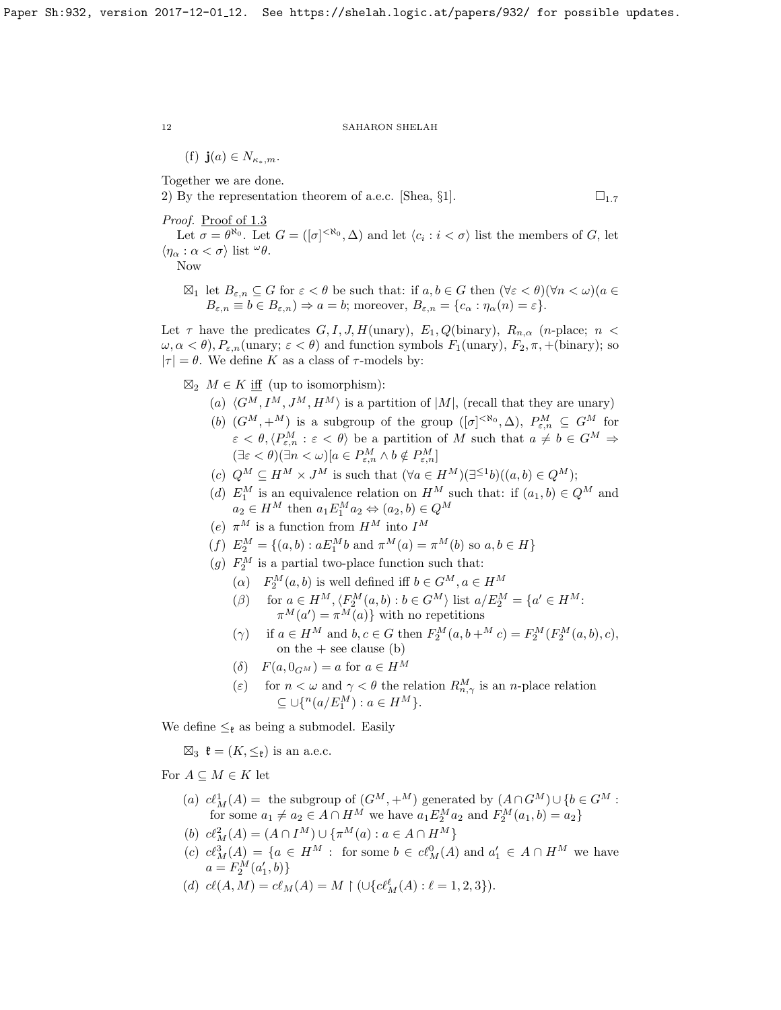(f)  $\mathbf{j}(a) \in N_{\kappa_*,m}$ .

Together we are done.

2) By the representation theorem of a.e.c. [\[Shea,](#page-18-5)  $\S1$  $\S1$ ].  $\square_{1.7}$ 

Proof. Proof of [1.3](#page-9-0)

Let  $\sigma = \theta^{\aleph_0}$ . Let  $G = ([\sigma]^{<\aleph_0}, \Delta)$  and let  $\langle c_i : i < \sigma \rangle$  list the members of G, let  $\langle \eta_\alpha : \alpha < \sigma \rangle$  list  $\omega \theta$ .

Now

 $\boxtimes_1$  let  $B_{\varepsilon,n} \subseteq G$  for  $\varepsilon < \theta$  be such that: if  $a, b \in G$  then  $(\forall \varepsilon < \theta)(\forall n < \omega)(a \in G)$  $B_{\varepsilon,n} \equiv b \in B_{\varepsilon,n}$ )  $\Rightarrow$  a = b; moreover,  $B_{\varepsilon,n} = \{c_{\alpha} : \eta_{\alpha}(n) = \varepsilon\}.$ 

Let  $\tau$  have the predicates  $G, I, J, H(\text{unary}), E_1, Q(\text{binary}), R_{n,\alpha}$  (n-place;  $n <$  $\omega, \alpha < \theta$ ),  $P_{\varepsilon,n}(\text{unary}; \varepsilon < \theta)$  and function symbols  $F_1(\text{unary})$ ,  $F_2, \pi, +(\text{binary})$ ; so  $|\tau| = \theta$ . We define K as a class of  $\tau$ -models by:

- $\boxtimes_2 M \in K$  iff (up to isomorphism):
	- (a)  $\langle G^M, I^M, J^M, H^M \rangle$  is a partition of  $|M|$ , (recall that they are unary)
	- (b)  $(G^M, +^M)$  is a subgroup of the group  $([\sigma]^{<\aleph_0}, \Delta)$ ,  $P_{\varepsilon,n}^M \subseteq G^M$  for  $\varepsilon < \theta, \langle P_{\varepsilon,n}^M : \varepsilon < \theta \rangle$  be a partition of M such that  $a \neq b \in G^M \Rightarrow$  $(\exists \varepsilon < \theta)(\exists n < \omega)[a \in P_{\varepsilon,n}^M \wedge b \notin P_{\varepsilon,n}^M]$
	- (c)  $Q^M \subseteq H^M \times J^M$  is such that  $(\forall a \in H^M)(\exists^{\leq 1}b)((a, b) \in Q^M);$
	- (d)  $E_1^M$  is an equivalence relation on  $H^M$  such that: if  $(a_1, b) \in Q^M$  and  $a_2 \in H^M$  then  $a_1 E_1^M a_2 \Leftrightarrow (a_2, b) \in Q^M$
	- (e)  $\pi^M$  is a function from  $H^M$  into  $I^M$
	- (f)  $E_2^M = \{(a, b) : aE_1^M b \text{ and } \pi^M(a) = \pi^M(b) \text{ so } a, b \in H\}$
	- (g)  $F_2^M$  is a partial two-place function such that:
		- $(\alpha)$   $F_2^M(a, b)$  is well defined iff  $b \in G^M, a \in H^M$
		- ( $\beta$ ) for  $a \in H^M$ ,  $\langle F_2^M(a, b) : b \in G^M \rangle$  list  $a/E_2^M = \{a' \in H^M:$  $\pi^M(a') = \pi^M(a)$  with no repetitions
		- ( $\gamma$ ) if  $a \in H^M$  and  $b, c \in G$  then  $F_2^M(a, b + M^M c) = F_2^M(F_2^M(a, b), c)$ , on the  $+$  see clause (b)
		- $(\delta)$   $F(a, 0_{G^M}) = a$  for  $a \in H^M$
		- (ε) for  $n < \omega$  and  $\gamma < \theta$  the relation  $R_{n,\gamma}^M$  is an *n*-place relation  $\subseteq \bigcup \{^n(a/E_1^M) : a \in H^M \}.$

We define  $\leq_{\ell}$  as being a submodel. Easily

 $\boxtimes_3$   $\mathfrak{k} = (K, \leq_{\mathfrak{k}})$  is an a.e.c.

For  $A \subseteq M \in K$  let

- (a)  $cl_M^1(A) =$  the subgroup of  $(G^M, +^M)$  generated by  $(A \cap G^M) \cup \{b \in G^M :$ for some  $a_1 \neq a_2 \in A \cap H^M$  we have  $a_1 E_2^M a_2$  and  $F_2^M(a_1, b) = a_2$
- (b)  $c\ell^2_M(A) = (A \cap I^M) \cup {\{\pi^M(a) : a \in A \cap H^M\}}$
- (c)  $cl_M^3(A) = \{a \in H^M : \text{ for some } b \in cl_M^0(A) \text{ and } a'_1 \in A \cap H^M \text{ we have } \}$  $a = F_2^M(a'_1, b)$
- (d)  $c\ell(A, M) = c\ell_M(A) = M \restriction (\cup \{c\ell_M^{\ell}(A) : \ell = 1, 2, 3\}).$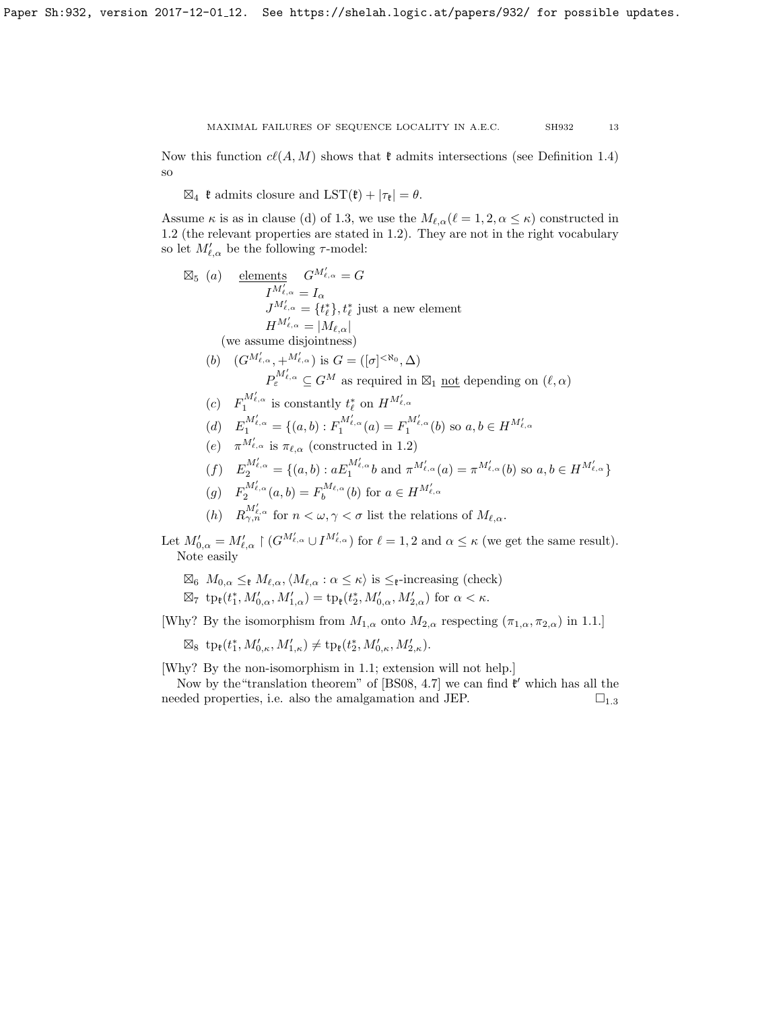Now this function  $c\ell(A, M)$  shows that  $\mathfrak k$  admits intersections (see Definition [1.4\)](#page-9-1) so

 $\boxtimes_4$  **t** admits closure and  $\text{LST}(\mathfrak{k}) + |\tau_{\mathfrak{k}}| = \theta$ .

Assume  $\kappa$  is as in clause (d) of [1.3,](#page-9-0) we use the  $M_{\ell,\alpha}(\ell = 1, 2, \alpha \leq \kappa)$  constructed in [1.2](#page-2-0) (the relevant properties are stated in [1.2\)](#page-2-0). They are not in the right vocabulary so let  $M'_{\ell,\alpha}$  be the following  $\tau$ -model:

$$
\mathbb{Z}_{5}
$$
 (a) elements  $G^{M'_{\ell,\alpha}} = G$   
\n $I^{M'_{\ell,\alpha}} = I_{\alpha}$   
\n $J^{M'_{\ell,\alpha}} = \{t_{\ell}^{*}\}, t_{\ell}^{*}$  just a new element  
\n $H^{M'_{\ell,\alpha}} = |M_{\ell,\alpha}|$   
\n(we assume disjointness)  
\n(b)  $(G^{M'_{\ell,\alpha}}, +^{M'_{\ell,\alpha}})$  is  $G = ([\sigma]^{<\aleph_{0}}, \Delta)$   
\n $P_{\varepsilon}^{M'_{\ell,\alpha}} \subseteq G^{M}$  as required in  $\boxtimes_{1}$  not depending on  $(\ell, \alpha)$   
\n(c)  $F_{1}^{M'_{\ell,\alpha}}$  is constantly  $t_{\ell}^{*}$  on  $H^{M'_{\ell,\alpha}}$   
\n(d)  $E_{1}^{M'_{\ell,\alpha}} = \{(a,b) : F_{1}^{M'_{\ell,\alpha}}(a) = F_{1}^{M'_{\ell,\alpha}}(b) \text{ so } a, b \in H^{M'_{\ell,\alpha}}$   
\n(e)  $\pi^{M'_{\ell,\alpha}}$  is  $\pi_{\ell,\alpha}$  (constructed in 1.2)  
\n(f)  $E_{2}^{M'_{\ell,\alpha}} = \{(a,b) : aE_{1}^{M'_{\ell,\alpha}}b \text{ and } \pi^{M'_{\ell,\alpha}}(a) = \pi^{M'_{\ell,\alpha}}(b) \text{ so } a, b \in H^{M'_{\ell,\alpha}}\}$   
\n(g)  $F_{2}^{M'_{\ell,\alpha}}(a,b) = F_{b}^{M_{\ell,\alpha}}(b) \text{ for } a \in H^{M'_{\ell,\alpha}}$   
\n(h)  $R_{\gamma,n}^{M'_{\ell,\alpha}}$  for  $n < \omega, \gamma < \sigma$  list the relations of  $M_{\ell,\alpha}$ .  
\n $t M'_{0,\alpha} = M'_{\ell,\alpha} \restriction (G^{M'_{\ell,\alpha}} \cup I^{M'_{\ell,\alpha}}) \text{ for } \ell = 1, 2 \text{ and } \alpha \leq \kappa$  (we get the same result).  
\nNote easily

$$
\boxtimes_6 M_{0,\alpha} \leq_{\mathfrak{k}} M_{\ell,\alpha}, \langle M_{\ell,\alpha} : \alpha \leq \kappa \rangle \text{ is } \leq_{\mathfrak{k}}\text{-increasing (check) }
$$
  

$$
\boxtimes_7 \text{ tp}_{\mathfrak{k}}(t_1^*, M'_{0,\alpha}, M'_{1,\alpha}) = \text{tp}_{\mathfrak{k}}(t_2^*, M'_{0,\alpha}, M'_{2,\alpha}) \text{ for } \alpha < \kappa.
$$

[Why? By the isomorphism from  $M_{1,\alpha}$  onto  $M_{2,\alpha}$  respecting  $(\pi_{1,\alpha}, \pi_{2,\alpha})$  in [1.1.](#page-2-1)]

 $\boxtimes_8 \text{ tp }_{\mathfrak{k}}(t_1^*, M'_{0,\kappa}, M'_{1,\kappa}) \neq \text{ tp }_{\mathfrak{k}}(t_2^*, M'_{0,\kappa}, M'_{2,\kappa}).$ 

Let

[Why? By the non-isomorphism in [1.1;](#page-2-1) extension will not help.]

Now by the "translation theorem" of  $[BS08, 4.7]$  we can find  $\mathfrak{k}'$  which has all the needed properties, i.e. also the amalgamation and JEP.  $\square_{1.3}$  $\square_{1.3}$  $\square_{1.3}$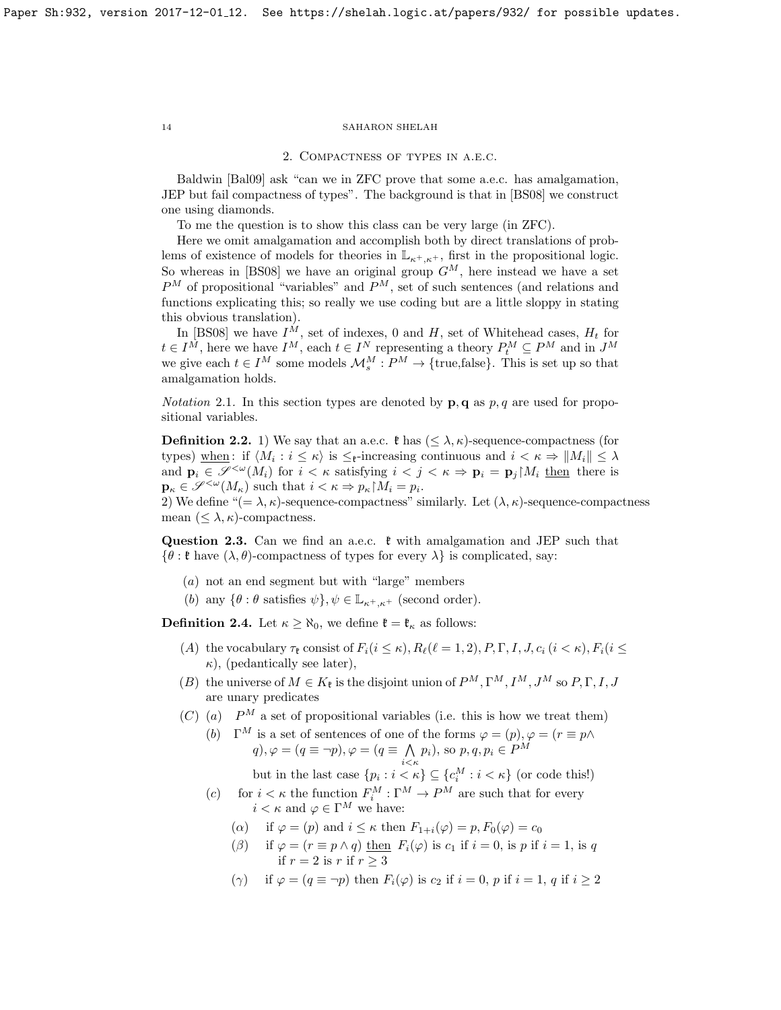#### 2. Compactness of types in a.e.c.

Baldwin [\[Bal09\]](#page-18-3) ask "can we in ZFC prove that some a.e.c. has amalgamation, JEP but fail compactness of types". The background is that in [\[BS08\]](#page-18-4) we construct one using diamonds.

To me the question is to show this class can be very large (in ZFC).

Here we omit amalgamation and accomplish both by direct translations of problems of existence of models for theories in  $\mathbb{L}_{\kappa^+, \kappa^+}$ , first in the propositional logic. So whereas in [\[BS08\]](#page-18-4) we have an original group  $G^M$ , here instead we have a set  $P^{M}$  of propositional "variables" and  $P^{M}$ , set of such sentences (and relations and functions explicating this; so really we use coding but are a little sloppy in stating this obvious translation).

In [\[BS08\]](#page-18-4) we have  $I^M$ , set of indexes, 0 and H, set of Whitehead cases,  $H_t$  for  $t \in I^M$ , here we have  $I^M$ , each  $t \in I^N$  representing a theory  $P_t^M \subseteq P^M$  and in  $J^M$ we give each  $t \in I^M$  some models  $\mathcal{M}_s^M : P^M \to \{\text{true}, \text{false}\}.$  This is set up so that amalgamation holds.

*Notation* 2.1. In this section types are denoted by  $\mathbf{p}, \mathbf{q}$  as p, q are used for propositional variables.

**Definition 2.2.** 1) We say that an a.e.c.  $\mathfrak{k}$  has  $(\leq \lambda, \kappa)$ -sequence-compactness (for types) when : if  $\langle M_i : i \leq \kappa \rangle$  is  $\leq_{\mathfrak{k}}$ -increasing continuous and  $i < \kappa \Rightarrow ||M_i|| \leq \lambda$ and  $\mathbf{p}_i \in \mathscr{S}^{\leq \omega}(M_i)$  for  $i < \kappa$  satisfying  $i < j < \kappa \Rightarrow \mathbf{p}_i = \mathbf{p}_i \upharpoonright M_i$  then there is  $\mathbf{p}_{\kappa} \in \mathscr{S}^{<\omega}(M_{\kappa})$  such that  $i < \kappa \Rightarrow p_{\kappa} M_i = p_i$ .

2) We define " $(=\lambda, \kappa)$ -sequence-compactness" similarly. Let  $(\lambda, \kappa)$ -sequence-compactness mean  $(\leq \lambda, \kappa)$ -compactness.

Question 2.3. Can we find an a.e.c.  $\ell$  with amalgamation and JEP such that  $\{\theta : \mathfrak{k} \text{ have } (\lambda, \theta) \text{-compactness of types for every } \lambda \} \text{ is complicated, say:}$ 

- (a) not an end segment but with "large" members
- (b) any  $\{\theta : \theta \text{ satisfies } \psi\}, \psi \in \mathbb{L}_{\kappa^+, \kappa^+}$  (second order).

**Definition 2.4.** Let  $\kappa \ge \aleph_0$ , we define  $\mathfrak{k} = \mathfrak{k}_\kappa$  as follows:

- (A) the vocabulary  $\tau_{\ell}$  consist of  $F_i(i \leq \kappa)$ ,  $R_{\ell}(\ell = 1, 2)$ ,  $P, \Gamma, I, J, c_i$  ( $i < \kappa$ ),  $F_i(i \leq \kappa)$  $\kappa$ ), (pedantically see later),
- (B) the universe of  $M \in K_{\mathfrak{k}}$  is the disjoint union of  $P^M, \Gamma^M, I^M, J^M$  so  $P, \Gamma, I, J$ are unary predicates
- (C) (a)  $P^M$  a set of propositional variables (i.e. this is how we treat them)
	- (b)  $\Gamma^M$  is a set of sentences of one of the forms  $\varphi = (p), \varphi = (r \equiv p \wedge p)$  $q, \varphi = (q \equiv \neg p), \varphi = (q \equiv \bigwedge$  $\bigwedge_{i \leq \kappa} p_i$ , so  $p, q, p_i \in P^M$ 
		- but in the last case  $\{p_i : i < \kappa\} \subseteq \{c_i^M : i < \kappa\}$  (or code this!)
	- (c) for  $i < \kappa$  the function  $F_i^M : \Gamma^M \to P^M$  are such that for every  $i < \kappa$  and  $\varphi \in \Gamma^M$  we have:
		- (a) if  $\varphi = (p)$  and  $i \leq \kappa$  then  $F_{1+i}(\varphi) = p, F_0(\varphi) = c_0$
		- ( $\beta$ ) if  $\varphi = (r \equiv p \wedge q)$  then  $F_i(\varphi)$  is  $c_1$  if  $i = 0$ , is p if  $i = 1$ , is q if  $r = 2$  is r if  $r > 3$
		- (γ) if  $\varphi = (q \equiv \neg p)$  then  $F_i(\varphi)$  is  $c_2$  if  $i = 0, p$  if  $i = 1, q$  if  $i \geq 2$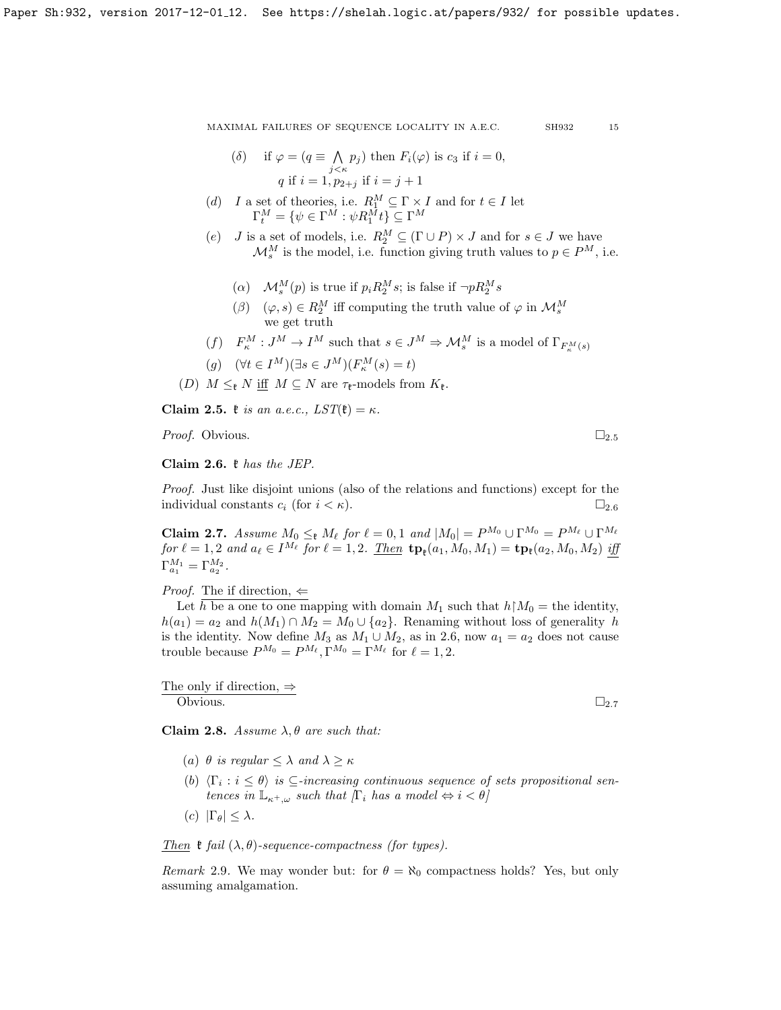(6) if 
$$
\varphi = (q \equiv \bigwedge_{j \leq \kappa} p_j)
$$
 then  $F_i(\varphi)$  is  $c_3$  if  $i = 0$ ,  
  $q$  if  $i = 1, p_{2+j}$  if  $i = j + 1$ 

(d) I a set of theories, i.e. 
$$
R_1^M \subseteq \Gamma \times I
$$
 and for  $t \in I$  let  $\Gamma_t^M = \{ \psi \in \Gamma^M : \psi R_1^M t \} \subseteq \Gamma^M$ 

- (e) *J* is a set of models, i.e.  $R_2^M \subseteq (\Gamma \cup P) \times J$  and for  $s \in J$  we have  $\mathcal{M}_s^M$  is the model, i.e. function giving truth values to  $p \in P^M$ , i.e.
	- ( $\alpha$ )  $\mathcal{M}_s^M(p)$  is true if  $p_i R_2^M s$ ; is false if  $\neg p R_2^M s$
	- $(\beta)$   $(\varphi, s) \in R_2^M$  iff computing the truth value of  $\varphi$  in  $\mathcal{M}_s^M$ we get truth
- $(f)$   $F_{\kappa}^M: J^M \to I^M$  such that  $s \in J^M \Rightarrow \mathcal{M}_s^M$  is a model of  $\Gamma_{F_{\kappa}^M(s)}$

$$
(g) \quad (\forall t \in I^M)(\exists s \in J^M)(F^M_\kappa(s) = t)
$$

(D)  $M \leq_{\mathfrak{k}} N$  iff  $M \subseteq N$  are  $\tau_{\mathfrak{k}}$ -models from  $K_{\mathfrak{k}}$ .

<span id="page-14-0"></span>Claim 2.5.  $\mathfrak{k}$  is an a.e.c.,  $LST(\mathfrak{k}) = \kappa$ .

*Proof.* Obvious.  $\Box_{2.5}$  $\Box_{2.5}$  $\Box_{2.5}$ 

<span id="page-14-1"></span>Claim 2.6. k has the JEP.

Proof. Just like disjoint unions (also of the relations and functions) except for the individual constants  $c_i$  (for  $i < \kappa$ ).  $\Box_{2.6}$  $\Box_{2.6}$  $\Box_{2.6}$ 

<span id="page-14-2"></span>**Claim 2.7.** Assume  $M_0 \leq_{\ell} M_{\ell}$  for  $\ell = 0, 1$  and  $|M_0| = P^{M_0} \cup \Gamma^{M_0} = P^{M_{\ell}} \cup \Gamma^{M_{\ell}}$  $for \ell = 1, 2 \text{ and } a_{\ell} \in I^{M_{\ell}} \text{ for } \ell = 1, 2.$   $\underline{Then} \text{ tp}_{\ell}(a_1, M_0, M_1) = \text{tp}_{\ell}(a_2, M_0, M_2) \text{ iff}$  $\Gamma_{a_1}^{M_1} = \Gamma_{a_2}^{M_2}.$ 

*Proof.* The if direction,  $\Leftarrow$ 

Let h be a one to one mapping with domain  $M_1$  such that  $h \upharpoonright M_0 =$  the identity,  $h(a_1) = a_2$  and  $h(M_1) \cap M_2 = M_0 \cup \{a_2\}$ . Renaming without loss of generality h is the identity. Now define  $M_3$  as  $M_1 \cup M_2$ , as in [2.6,](#page-14-1) now  $a_1 = a_2$  does not cause trouble because  $P^{M_0} = P^{M_\ell}, \Gamma^{M_0} = \Gamma^{M_\ell}$  for  $\ell = 1, 2$ .

The only if direction,  $\Rightarrow$ 

 $\overline{\text{Obviously}}$   $\Box_{2.7}$  $\Box_{2.7}$  $\Box_{2.7}$ 

<span id="page-14-3"></span>Claim 2.8. Assume  $\lambda, \theta$  are such that:

- (a)  $\theta$  is regular  $\langle \lambda \rangle$  and  $\lambda \geq \kappa$
- (b)  $\langle \Gamma_i : i \leq \theta \rangle$  is  $\subseteq$ -increasing continuous sequence of sets propositional sentences in  $\mathbb{L}_{\kappa^+,\omega}$  such that  $[\Gamma_i$  has a model  $\Leftrightarrow i < \theta]$
- (c)  $|\Gamma_{\theta}| < \lambda$ .

Then  $\mathfrak k$  fail  $(\lambda, \theta)$ -sequence-compactness (for types).

Remark 2.9. We may wonder but: for  $\theta = \aleph_0$  compactness holds? Yes, but only assuming amalgamation.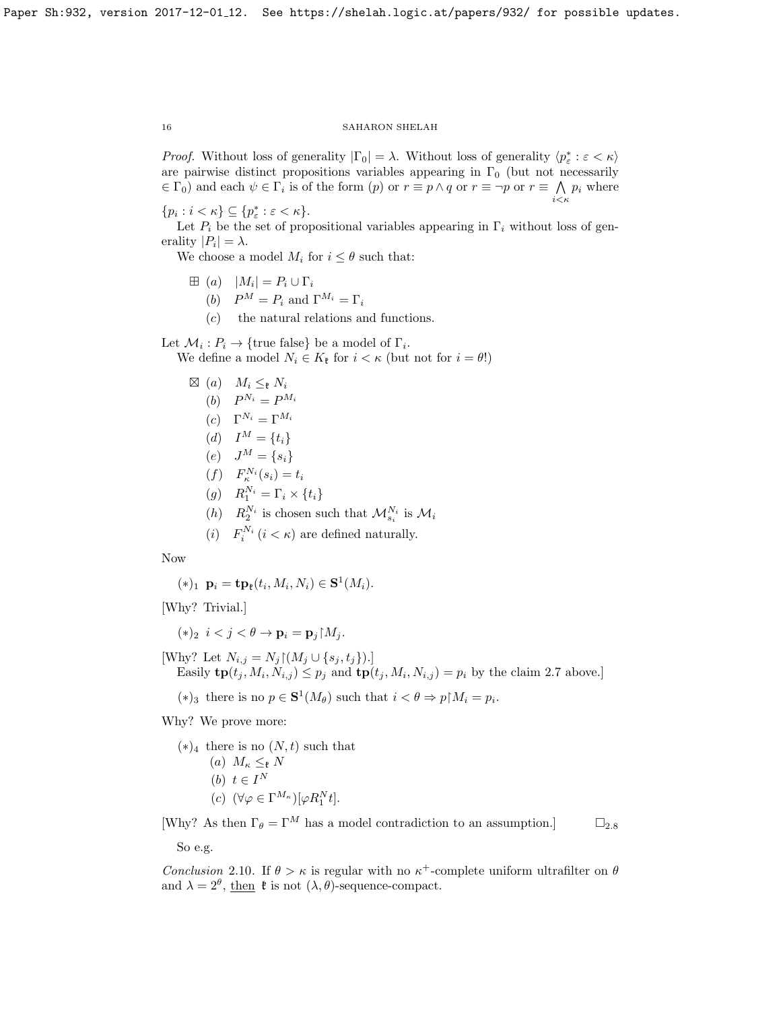*Proof.* Without loss of generality  $|\Gamma_0| = \lambda$ . Without loss of generality  $\langle p_{\varepsilon}^* : \varepsilon < \kappa \rangle$ are pairwise distinct propositions variables appearing in  $\Gamma_0$  (but not necessarily  $\in \Gamma_0$ ) and each  $\psi \in \Gamma_i$  is of the form  $(p)$  or  $r \equiv p \wedge q$  or  $r \equiv \neg p$  or  $r \equiv \bigwedge p_i$  where  $i<\kappa$ 

 $\{p_i : i < \kappa\} \subseteq \{p^*_\varepsilon : \varepsilon < \kappa\}.$ 

Let  $P_i$  be the set of propositional variables appearing in  $\Gamma_i$  without loss of generality  $|P_i| = \lambda$ .

We choose a model  $M_i$  for  $i \leq \theta$  such that:

- $\boxplus$  (a)  $|M_i| = P_i \cup \Gamma_i$ 
	- (b)  $P^M = P_i$  and  $\Gamma^{M_i} = \Gamma_i$
	- (c) the natural relations and functions.

Let  $\mathcal{M}_i : P_i \to \{\text{true false}\}\)$  be a model of  $\Gamma_i$ . We define a model  $N_i \in K_{\mathfrak{k}}$  for  $i < \kappa$  (but not for  $i = \theta$ !)

$$
\mathbb{Z} \n\begin{aligned}\n(a) \quad & M_i \leq_{\mathfrak{k}} N_i \\
(b) \quad & P^{N_i} = P^{M_i} \\
(c) \quad & \Gamma^{N_i} = \Gamma^{M_i} \\
(d) \quad & I^M = \{t_i\} \\
(e) \quad & J^M = \{s_i\} \\
(f) \quad & F^{N_i}_\kappa(s_i) = t_i \\
(g) \quad & R^{N_i}_1 = \Gamma_i \times \{t_i\} \\
(h) \quad & R^{N_i}_2 \text{ is chosen such that } \mathcal{M}^{N_i}_{s_i} \text{ is } \mathcal{M}_i \\
(i) \quad & F^{N_i}_i \ (i < \kappa) \text{ are defined naturally.}\n\end{aligned}
$$

Now

$$
(*)_1 \mathbf{p}_i = \mathbf{tp}_\mathfrak{k}(t_i, M_i, N_i) \in \mathbf{S}^1(M_i).
$$

[Why? Trivial.]

$$
(*)_2 \ \ i < j < \theta \rightarrow \mathbf{p}_i = \mathbf{p}_j \restriction M_j.
$$

[Why? Let  $N_{i,j} = N_j \lfloor (M_j \cup \{s_j, t_j\}) \rfloor$ ] Easily  $\text{tp}(t_j, M_i, N_{i,j}) \leq p_j$  and  $\text{tp}(t_j, M_i, N_{i,j}) = p_i$  by the claim [2.7](#page-14-2) above.

(\*)<sub>3</sub> there is no  $p \in \mathbf{S}^1(M_\theta)$  such that  $i < \theta \Rightarrow p \upharpoonright M_i = p_i$ .

Why? We prove more:

- $(*)_4$  there is no  $(N, t)$  such that (a)  $M_{\kappa} \leq_{\mathfrak{k}} N$ (b)  $t \in I^N$ 
	- (c)  $(\forall \varphi \in \Gamma^{M_{\kappa}})[\varphi R_1^N t].$

[Why? As then  $\Gamma_{\theta} = \Gamma^M$  has a model contradiction to an assumption.]  $\Box_{2,8}$  $\Box_{2,8}$  $\Box_{2,8}$ 

So e.g.

<span id="page-15-0"></span>Conclusion 2.10. If  $\theta > \kappa$  is regular with no  $\kappa^+$ -complete uniform ultrafilter on  $\theta$ and  $\lambda = 2^{\theta}$ , then  $\mathfrak{k}$  is not  $(\lambda, \theta)$ -sequence-compact.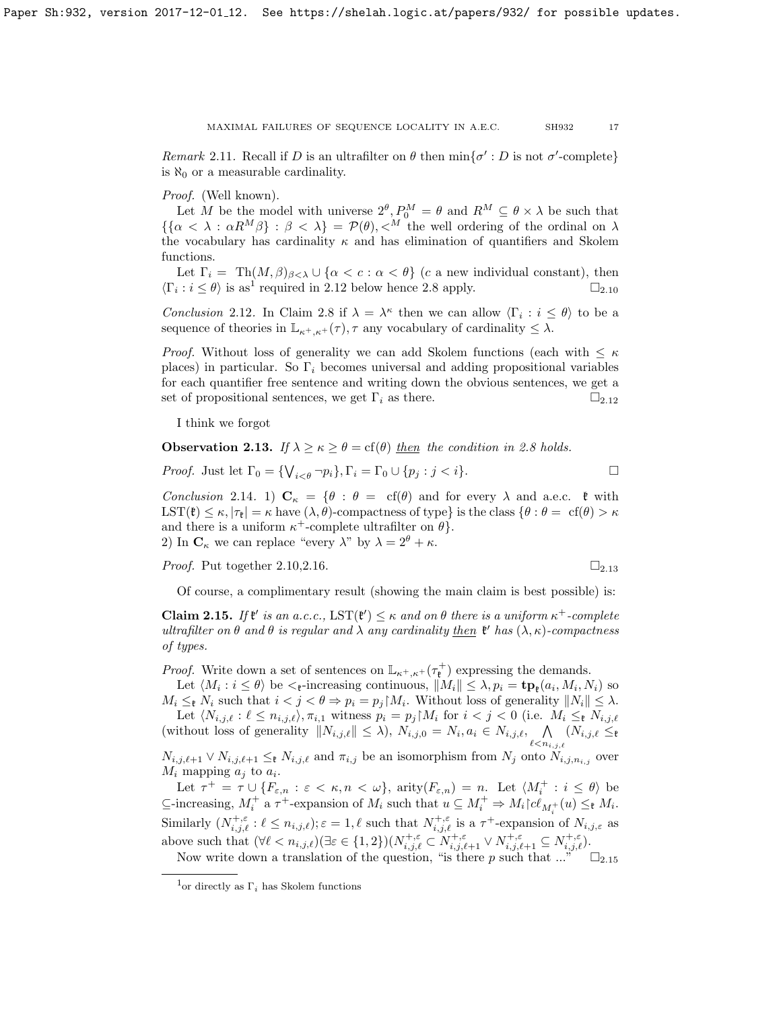Remark 2.11. Recall if D is an ultrafilter on  $\theta$  then  $\min{\{\sigma': D \text{ is not } \sigma' \text{-complete}\}}$ is  $\aleph_0$  or a measurable cardinality.

Proof. (Well known).

Let M be the model with universe  $2^{\theta}, P_0^M = \theta$  and  $R^M \subseteq \theta \times \lambda$  be such that  $\{\{\alpha < \lambda : \alpha R^{M}\beta\} : \beta < \lambda\} = \mathcal{P}(\theta), \langle M \rangle$  the well ordering of the ordinal on  $\lambda$ the vocabulary has cardinality  $\kappa$  and has elimination of quantifiers and Skolem functions.

Let  $\Gamma_i = \text{Th}(M, \beta)_{\beta < \lambda} \cup \{\alpha < c : \alpha < \theta\}$  (c a new individual constant), then  $\langle \Gamma_i : i \leq \theta \rangle$  is as<sup>[1](#page-16-0)</sup> required in [2.12](#page-16-1) below hence [2.8](#page-14-3) apply.  $\square_{2.10}$  $\square_{2.10}$  $\square_{2.10}$ 

<span id="page-16-1"></span>*Conclusion* 2.12. In Claim [2.8](#page-14-3) if  $\lambda = \lambda^{\kappa}$  then we can allow  $\langle \Gamma_i : i \leq \theta \rangle$  to be a sequence of theories in  $\mathbb{L}_{\kappa^+, \kappa^+}(\tau)$ ,  $\tau$  any vocabulary of cardinality  $\leq \lambda$ .

*Proof.* Without loss of generality we can add Skolem functions (each with  $\leq \kappa$ places) in particular. So  $\Gamma_i$  becomes universal and adding propositional variables for each quantifier free sentence and writing down the obvious sentences, we get a set of propositional sentences, we get  $\Gamma_i$  as there.  $\Box_{2.12}$  $\Box_{2.12}$  $\Box_{2.12}$ 

I think we forgot

<span id="page-16-2"></span>**Observation 2.13.** If  $\lambda > \kappa > \theta = \text{cf}(\theta)$  then the condition in [2.8](#page-14-3) holds.

Proof. Just let  $\Gamma_0 = \{ \bigvee_{i < \theta} \neg p_i \}, \Gamma_i = \Gamma_0 \cup \{ p_j : j < i \}.$ 

Conclusion 2.14. 1)  $C_{\kappa} = \{\theta : \theta = \text{cf}(\theta) \text{ and for every } \lambda \text{ and a.e.c. } \mathfrak{k} \text{ with }$ LST( $\mathfrak{k}$ )  $\leq \kappa$ ,  $|\tau_{\mathfrak{k}}| = \kappa$  have  $(\lambda, \theta)$ -compactness of type} is the class  $\{\theta : \theta = \text{cf}(\theta) > \kappa\}$ and there is a uniform  $\kappa^+$ -complete ultrafilter on  $\theta$ . 2) In  $\mathbf{C}_{\kappa}$  we can replace "every  $\lambda$ " by  $\lambda = 2^{\theta} + \kappa$ .

*Proof.* Put together  $2.10, 2.16$ .

$$
\square_{2.13}
$$

Of course, a complimentary result (showing the main claim is best possible) is:

<span id="page-16-3"></span>Claim 2.15. If  $\mathfrak{k}'$  is an a.c.c.,  $\text{LST}(\mathfrak{k}') \leq \kappa$  and on  $\theta$  there is a uniform  $\kappa^+$ -complete ultrafilter on  $\theta$  and  $\theta$  is regular and  $\lambda$  any cardinality then  $\mathfrak{k}'$  has  $(\lambda, \kappa)$ -compactness of types.

*Proof.* Write down a set of sentences on  $\mathbb{L}_{\kappa^+, \kappa^+}(\tau^+_{\mathfrak{k}})$  expressing the demands.

Let  $\langle M_i : i \leq \theta \rangle$  be  $\langle \xi$ -increasing continuous,  $||M_i|| \leq \lambda$ ,  $p_i = \mathbf{tp}_\xi(a_i, M_i, N_i)$  so  $M_i \leq_{\mathfrak{k}} N_i$  such that  $i < j < \theta \Rightarrow p_i = p_j M_i$ . Without loss of generality  $||N_i|| \leq \lambda$ . Let  $\langle N_{i,j,\ell} : \ell \leq n_{i,j,\ell} \rangle, \pi_{i,1}$  witness  $p_i = p_j \upharpoonright M_i$  for  $i < j < 0$  (i.e.  $M_i \leq_{\ell} N_{i,j,\ell}$ (without loss of generality  $||N_{i,j,\ell}|| \leq \lambda$ ),  $N_{i,j,0} = N_i, a_i \in N_{i,j,\ell}$ ,  $\bigwedge$  $(N_{i,j,\ell} \leq_{\mathfrak{k}}$ 

 $\ell < n_{i,j,\ell}$  $N_{i,j,\ell+1} \vee N_{i,j,\ell+1} \leq_{\ell} N_{i,j,\ell}$  and  $\pi_{i,j}$  be an isomorphism from  $N_j$  onto  $N_{i,j,n_{i,j}}$  over  $M_i$  mapping  $a_j$  to  $a_i$ .

Let  $\tau^+ = \tau \cup \{F_{\varepsilon,n} : \varepsilon < \kappa, n < \omega\}$ , arity $(F_{\varepsilon,n}) = n$ . Let  $\langle M_i^+ : i \leq \theta \rangle$  be  $\subseteq$ -increasing,  $M_i^+$  a  $\tau^+$ -expansion of  $M_i$  such that  $u \subseteq M_i^+ \Rightarrow M_i \cap C_{M_i^+}(u) \leq_{\mathfrak{k}} M_i$ . Similarly  $(N_{i,j,\ell}^{+, \varepsilon} : \ell \leq n_{i,j,\ell}); \varepsilon = 1, \ell$  such that  $N_{i,j,\ell}^{+, \varepsilon}$  is a  $\tau^+$ -expansion of  $N_{i,j,\varepsilon}$  as above such that  $(\forall \ell < n_{i,j,\ell}) (\exists \varepsilon \in \{1,2\}) (N_{i,j,\ell}^{+,\varepsilon} \subset N_{i,j,\ell+1}^{+,\varepsilon} \vee N_{i,j,\ell+1}^{+,\varepsilon} \subseteq N_{i,j,\ell}^{+,\varepsilon}).$ 

Now write down a translation of the question, "is there p such that  $...\right)^{n} \Box_{2.15}$  $...\right)^{n} \Box_{2.15}$  $...\right)^{n} \Box_{2.15}$ 

<span id="page-16-0"></span><sup>&</sup>lt;sup>1</sup>or directly as  $\Gamma_i$  has Skolem functions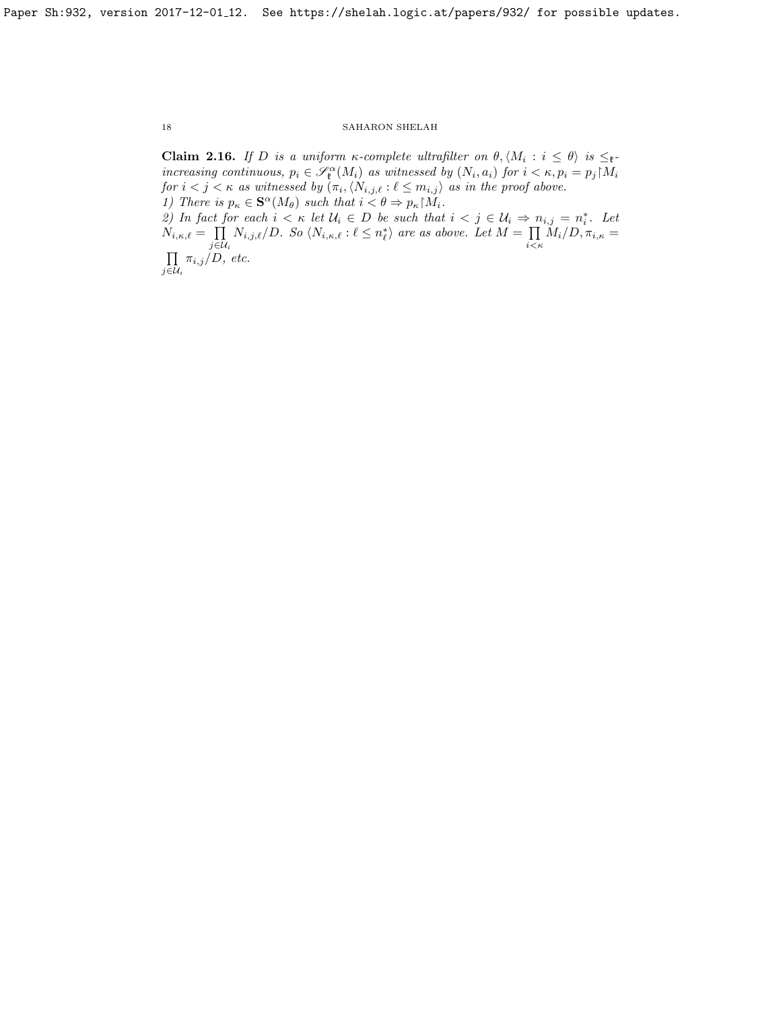<span id="page-17-0"></span>**Claim 2.16.** If D is a uniform  $\kappa$ -complete ultrafilter on  $\theta, \langle M_i : i \leq \theta \rangle$  is  $\leq_{\mathfrak{k}}$ increasing continuous,  $p_i \in \mathscr{S}_{\ell}^{\alpha}(M_i)$  as witnessed by  $(N_i, a_i)$  for  $i < \kappa, p_i = p_j \upharpoonright M_i$ for  $i < j < \kappa$  as witnessed by  $(\pi_i, \langle N_{i,j,\ell} : \ell \leq m_{i,j})$  as in the proof above. 1) There is  $p_{\kappa} \in \mathbf{S}^{\alpha}(M_{\theta})$  such that  $i < \theta \Rightarrow p_{\kappa} | M_i$ . 2) In fact for each  $i < \kappa$  let  $\mathcal{U}_i \in D$  be such that  $i < j \in \mathcal{U}_i \Rightarrow n_{i,j} = n_i^*$ . Let  $N_{i,\kappa,\ell} = \prod$  $\prod_{j\in\mathcal{U}_i} N_{i,j,\ell}/D$ . So  $\langle N_{i,\kappa,\ell} : \ell \leq n_\ell^* \rangle$  are as above. Let  $M = \prod_{i \leq \ell}$  $\prod\limits_{i<\kappa}M_i/D, \pi_{i,\kappa} =$  $\Pi$  $\prod_{j\in\mathcal{U}_i}\pi_{i,j}/D,$  etc.